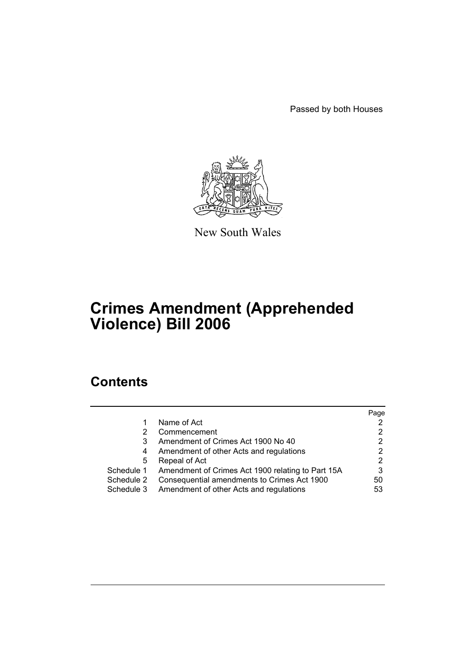Passed by both Houses



New South Wales

# **Crimes Amendment (Apprehended Violence) Bill 2006**

# **Contents**

|            |                                                   | Page |
|------------|---------------------------------------------------|------|
| 1          | Name of Act                                       |      |
| 2          | Commencement                                      |      |
| 3          | Amendment of Crimes Act 1900 No 40                | 2    |
| 4          | Amendment of other Acts and regulations           |      |
| 5          | Repeal of Act                                     | 2    |
| Schedule 1 | Amendment of Crimes Act 1900 relating to Part 15A | 3    |
| Schedule 2 | Consequential amendments to Crimes Act 1900       | 50   |
| Schedule 3 | Amendment of other Acts and regulations           | 53   |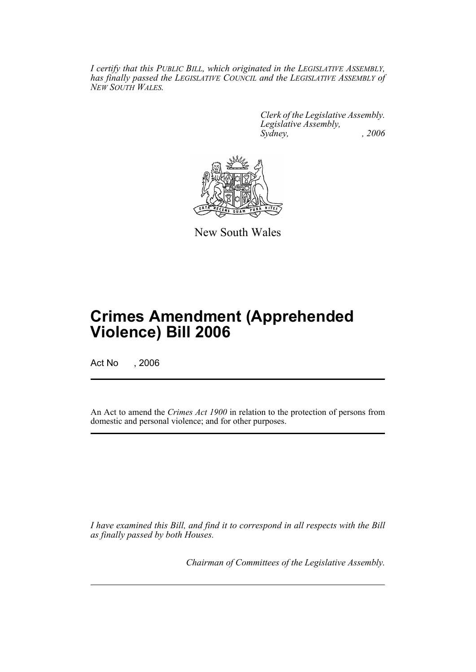*I certify that this PUBLIC BILL, which originated in the LEGISLATIVE ASSEMBLY, has finally passed the LEGISLATIVE COUNCIL and the LEGISLATIVE ASSEMBLY of NEW SOUTH WALES.*

> *Clerk of the Legislative Assembly. Legislative Assembly, Sydney, , 2006*



New South Wales

# **Crimes Amendment (Apprehended Violence) Bill 2006**

Act No , 2006

An Act to amend the *Crimes Act 1900* in relation to the protection of persons from domestic and personal violence; and for other purposes.

*I have examined this Bill, and find it to correspond in all respects with the Bill as finally passed by both Houses.*

*Chairman of Committees of the Legislative Assembly.*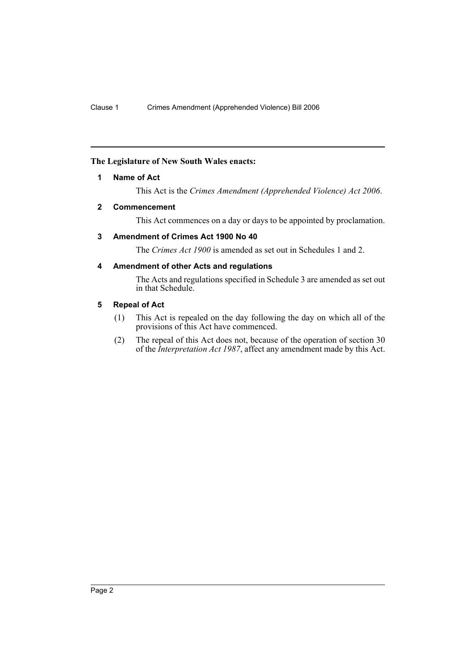# **The Legislature of New South Wales enacts:**

### **1 Name of Act**

This Act is the *Crimes Amendment (Apprehended Violence) Act 2006*.

### **2 Commencement**

This Act commences on a day or days to be appointed by proclamation.

# **3 Amendment of Crimes Act 1900 No 40**

The *Crimes Act 1900* is amended as set out in Schedules 1 and 2.

# **4 Amendment of other Acts and regulations**

The Acts and regulations specified in Schedule 3 are amended as set out in that Schedule.

#### **5 Repeal of Act**

- (1) This Act is repealed on the day following the day on which all of the provisions of this Act have commenced.
- (2) The repeal of this Act does not, because of the operation of section 30 of the *Interpretation Act 1987*, affect any amendment made by this Act.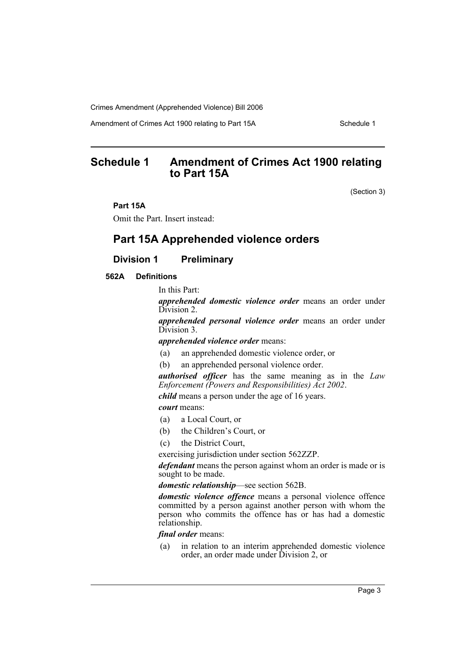Amendment of Crimes Act 1900 relating to Part 15A Schedule 1

# **Schedule 1 Amendment of Crimes Act 1900 relating to Part 15A**

(Section 3)

### **Part 15A**

Omit the Part. Insert instead:

# **Part 15A Apprehended violence orders**

# **Division 1 Preliminary**

**562A Definitions**

In this Part:

*apprehended domestic violence order* means an order under Division 2.

*apprehended personal violence order* means an order under Division 3.

*apprehended violence order* means:

- (a) an apprehended domestic violence order, or
- (b) an apprehended personal violence order.

*authorised officer* has the same meaning as in the *Law Enforcement (Powers and Responsibilities) Act 2002*.

*child* means a person under the age of 16 years.

*court* means:

- (a) a Local Court, or
- (b) the Children's Court, or
- (c) the District Court,

exercising jurisdiction under section 562ZZP.

*defendant* means the person against whom an order is made or is sought to be made.

*domestic relationship*—see section 562B.

*domestic violence offence* means a personal violence offence committed by a person against another person with whom the person who commits the offence has or has had a domestic relationship.

*final order* means:

(a) in relation to an interim apprehended domestic violence order, an order made under Division 2, or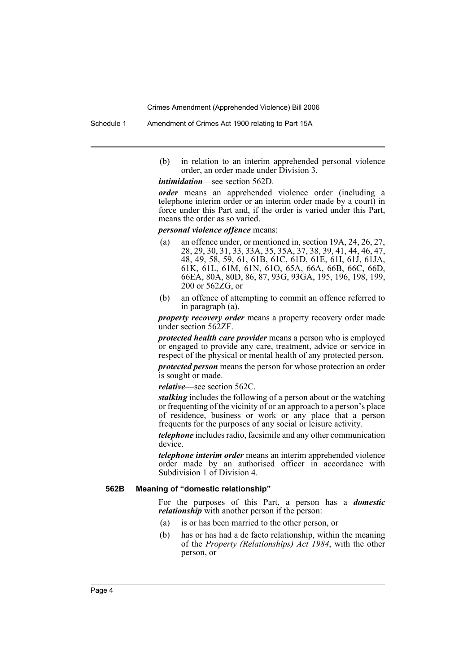Schedule 1 Amendment of Crimes Act 1900 relating to Part 15A

(b) in relation to an interim apprehended personal violence order, an order made under Division 3.

*intimidation*—see section 562D.

*order* means an apprehended violence order (including a telephone interim order or an interim order made by a court) in force under this Part and, if the order is varied under this Part, means the order as so varied.

#### *personal violence offence* means:

- (a) an offence under, or mentioned in, section 19A, 24, 26, 27, 28, 29, 30, 31, 33, 33A, 35, 35A, 37, 38, 39, 41, 44, 46, 47, 48, 49, 58, 59, 61, 61B, 61C, 61D, 61E, 61I, 61J, 61JA, 61K, 61L, 61M, 61N, 61O, 65A, 66A, 66B, 66C, 66D, 66EA, 80A, 80D, 86, 87, 93G, 93GA, 195, 196, 198, 199, 200 or 562ZG, or
- (b) an offence of attempting to commit an offence referred to in paragraph (a).

*property recovery order* means a property recovery order made under section 562ZF.

*protected health care provider* means a person who is employed or engaged to provide any care, treatment, advice or service in respect of the physical or mental health of any protected person. *protected person* means the person for whose protection an order is sought or made.

*relative*—see section 562C.

*stalking* includes the following of a person about or the watching or frequenting of the vicinity of or an approach to a person's place of residence, business or work or any place that a person frequents for the purposes of any social or leisure activity.

*telephone* includes radio, facsimile and any other communication device.

*telephone interim order* means an interim apprehended violence order made by an authorised officer in accordance with Subdivision 1 of Division 4.

#### **562B Meaning of "domestic relationship"**

For the purposes of this Part, a person has a *domestic relationship* with another person if the person:

- (a) is or has been married to the other person, or
- (b) has or has had a de facto relationship, within the meaning of the *Property (Relationships) Act 1984*, with the other person, or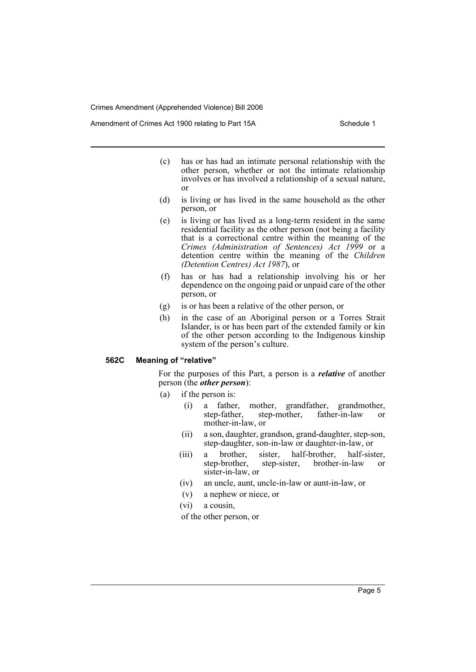Amendment of Crimes Act 1900 relating to Part 15A Schedule 1

- (c) has or has had an intimate personal relationship with the other person, whether or not the intimate relationship involves or has involved a relationship of a sexual nature, or
- (d) is living or has lived in the same household as the other person, or
- (e) is living or has lived as a long-term resident in the same residential facility as the other person (not being a facility that is a correctional centre within the meaning of the *Crimes (Administration of Sentences) Act 1999* or a detention centre within the meaning of the *Children (Detention Centres) Act 1987*), or
- (f) has or has had a relationship involving his or her dependence on the ongoing paid or unpaid care of the other person, or
- (g) is or has been a relative of the other person, or
- (h) in the case of an Aboriginal person or a Torres Strait Islander, is or has been part of the extended family or kin of the other person according to the Indigenous kinship system of the person's culture.

#### **562C Meaning of "relative"**

For the purposes of this Part, a person is a *relative* of another person (the *other person*):

- (a) if the person is:
	- (i) a father, mother, grandfather, grandmother, step-father, step-mother, father-in-law or step-mother, father-in-law or mother-in-law, or
	- (ii) a son, daughter, grandson, grand-daughter, step-son, step-daughter, son-in-law or daughter-in-law, or
	- (iii) a brother, sister, half-brother, half-sister, step-brother, step-sister, brother-in-law or sister-in-law, or
	- (iv) an uncle, aunt, uncle-in-law or aunt-in-law, or
	- (v) a nephew or niece, or
	- (vi) a cousin,
	- of the other person, or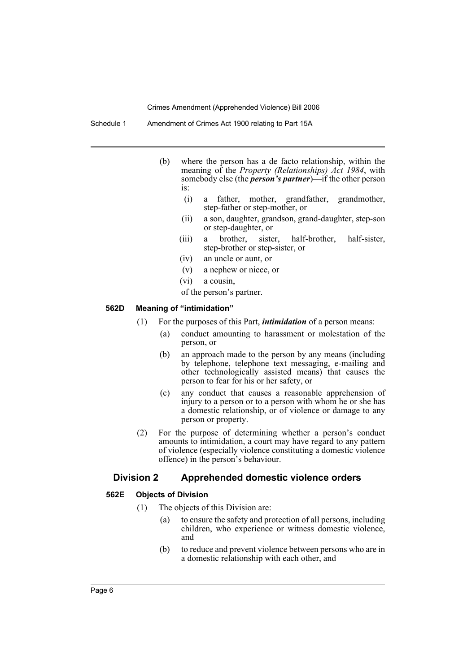Schedule 1 Amendment of Crimes Act 1900 relating to Part 15A

- (b) where the person has a de facto relationship, within the meaning of the *Property (Relationships) Act 1984*, with somebody else (the *person's partner*)—if the other person is:
	- (i) a father, mother, grandfather, grandmother, step-father or step-mother, or
	- (ii) a son, daughter, grandson, grand-daughter, step-son or step-daughter, or
	- (iii) a brother, sister, half-brother, half-sister, step-brother or step-sister, or
	- (iv) an uncle or aunt, or
	- (v) a nephew or niece, or
	- (vi) a cousin,
	- of the person's partner.

#### **562D Meaning of "intimidation"**

- (1) For the purposes of this Part, *intimidation* of a person means:
	- (a) conduct amounting to harassment or molestation of the person, or
	- (b) an approach made to the person by any means (including by telephone, telephone text messaging, e-mailing and other technologically assisted means) that causes the person to fear for his or her safety, or
	- (c) any conduct that causes a reasonable apprehension of injury to a person or to a person with whom he or she has a domestic relationship, or of violence or damage to any person or property.
- (2) For the purpose of determining whether a person's conduct amounts to intimidation, a court may have regard to any pattern of violence (especially violence constituting a domestic violence offence) in the person's behaviour.

# **Division 2 Apprehended domestic violence orders**

#### **562E Objects of Division**

- (1) The objects of this Division are:
	- (a) to ensure the safety and protection of all persons, including children, who experience or witness domestic violence, and
	- (b) to reduce and prevent violence between persons who are in a domestic relationship with each other, and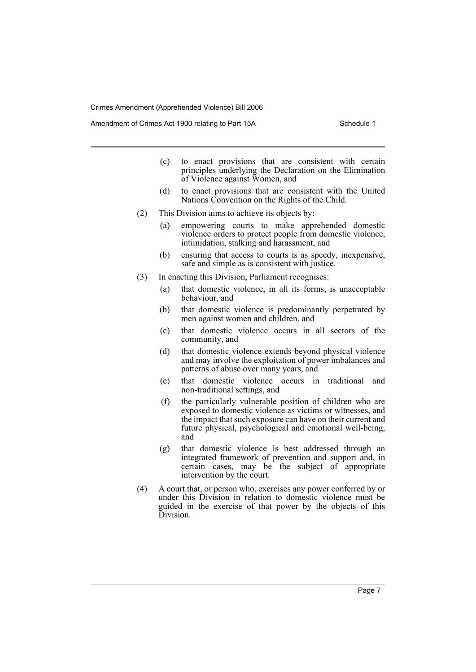Amendment of Crimes Act 1900 relating to Part 15A Schedule 1

- (c) to enact provisions that are consistent with certain principles underlying the Declaration on the Elimination of Violence against Women, and
- (d) to enact provisions that are consistent with the United Nations Convention on the Rights of the Child.
- (2) This Division aims to achieve its objects by:
	- (a) empowering courts to make apprehended domestic violence orders to protect people from domestic violence, intimidation, stalking and harassment, and
	- (b) ensuring that access to courts is as speedy, inexpensive, safe and simple as is consistent with justice.
- (3) In enacting this Division, Parliament recognises:
	- (a) that domestic violence, in all its forms, is unacceptable behaviour, and
	- (b) that domestic violence is predominantly perpetrated by men against women and children, and
	- (c) that domestic violence occurs in all sectors of the community, and
	- (d) that domestic violence extends beyond physical violence and may involve the exploitation of power imbalances and patterns of abuse over many years, and
	- (e) that domestic violence occurs in traditional and non-traditional settings, and
	- (f) the particularly vulnerable position of children who are exposed to domestic violence as victims or witnesses, and the impact that such exposure can have on their current and future physical, psychological and emotional well-being, and
	- (g) that domestic violence is best addressed through an integrated framework of prevention and support and, in certain cases, may be the subject of appropriate intervention by the court.
- (4) A court that, or person who, exercises any power conferred by or under this Division in relation to domestic violence must be guided in the exercise of that power by the objects of this Division.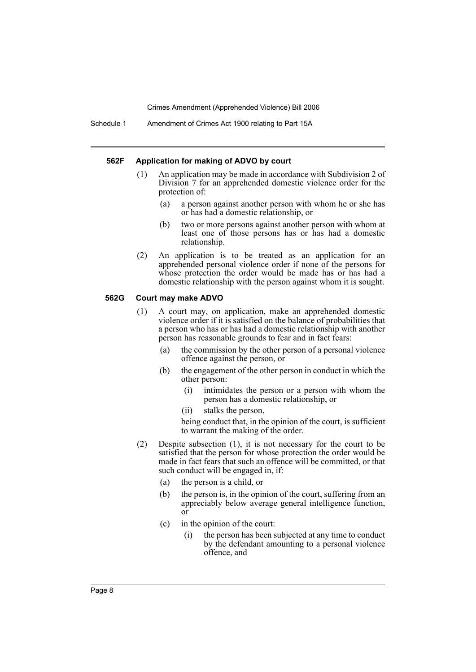Schedule 1 Amendment of Crimes Act 1900 relating to Part 15A

#### **562F Application for making of ADVO by court**

- (1) An application may be made in accordance with Subdivision 2 of Division 7 for an apprehended domestic violence order for the protection of:
	- (a) a person against another person with whom he or she has or has had a domestic relationship, or
	- (b) two or more persons against another person with whom at least one of those persons has or has had a domestic relationship.
- (2) An application is to be treated as an application for an apprehended personal violence order if none of the persons for whose protection the order would be made has or has had a domestic relationship with the person against whom it is sought.

#### **562G Court may make ADVO**

- (1) A court may, on application, make an apprehended domestic violence order if it is satisfied on the balance of probabilities that a person who has or has had a domestic relationship with another person has reasonable grounds to fear and in fact fears:
	- (a) the commission by the other person of a personal violence offence against the person, or
	- (b) the engagement of the other person in conduct in which the other person:
		- (i) intimidates the person or a person with whom the person has a domestic relationship, or
		- (ii) stalks the person,

being conduct that, in the opinion of the court, is sufficient to warrant the making of the order.

- (2) Despite subsection (1), it is not necessary for the court to be satisfied that the person for whose protection the order would be made in fact fears that such an offence will be committed, or that such conduct will be engaged in, if:
	- (a) the person is a child, or
	- (b) the person is, in the opinion of the court, suffering from an appreciably below average general intelligence function, or
	- (c) in the opinion of the court:
		- (i) the person has been subjected at any time to conduct by the defendant amounting to a personal violence offence, and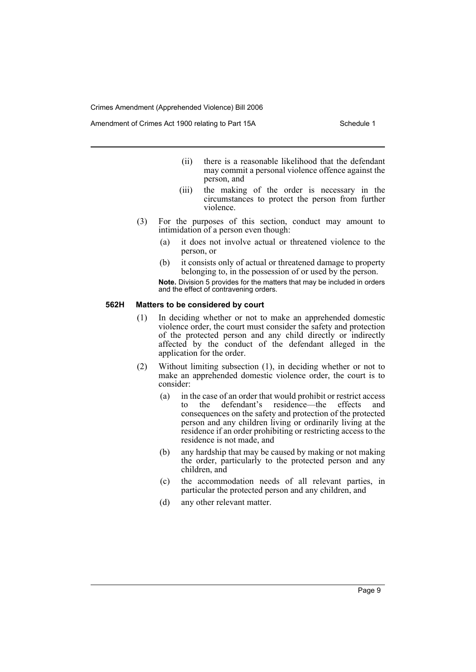Amendment of Crimes Act 1900 relating to Part 15A Schedule 1

- (ii) there is a reasonable likelihood that the defendant may commit a personal violence offence against the person, and
- (iii) the making of the order is necessary in the circumstances to protect the person from further violence.
- (3) For the purposes of this section, conduct may amount to intimidation of a person even though:
	- (a) it does not involve actual or threatened violence to the person, or
	- (b) it consists only of actual or threatened damage to property belonging to, in the possession of or used by the person. **Note.** Division 5 provides for the matters that may be included in orders and the effect of contravening orders.

#### **562H Matters to be considered by court**

- (1) In deciding whether or not to make an apprehended domestic violence order, the court must consider the safety and protection of the protected person and any child directly or indirectly affected by the conduct of the defendant alleged in the application for the order.
- (2) Without limiting subsection (1), in deciding whether or not to make an apprehended domestic violence order, the court is to consider:
	- (a) in the case of an order that would prohibit or restrict access to the defendant's residence—the effects and consequences on the safety and protection of the protected person and any children living or ordinarily living at the residence if an order prohibiting or restricting access to the residence is not made, and
	- (b) any hardship that may be caused by making or not making the order, particularly to the protected person and any children, and
	- (c) the accommodation needs of all relevant parties, in particular the protected person and any children, and
	- (d) any other relevant matter.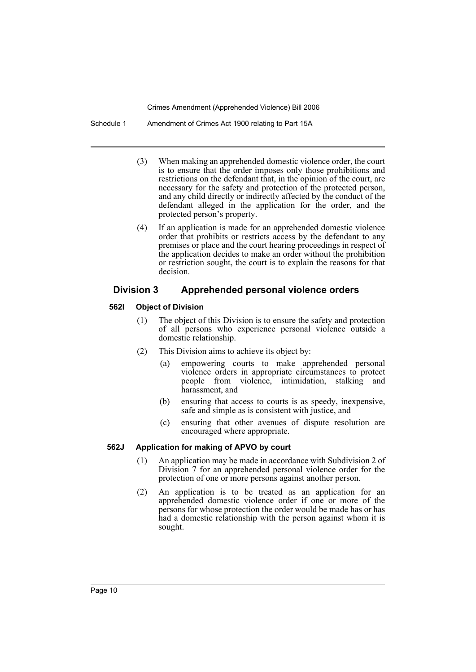Schedule 1 Amendment of Crimes Act 1900 relating to Part 15A

- (3) When making an apprehended domestic violence order, the court is to ensure that the order imposes only those prohibitions and restrictions on the defendant that, in the opinion of the court, are necessary for the safety and protection of the protected person, and any child directly or indirectly affected by the conduct of the defendant alleged in the application for the order, and the protected person's property.
- (4) If an application is made for an apprehended domestic violence order that prohibits or restricts access by the defendant to any premises or place and the court hearing proceedings in respect of the application decides to make an order without the prohibition or restriction sought, the court is to explain the reasons for that decision.

# **Division 3 Apprehended personal violence orders**

# **562I Object of Division**

- (1) The object of this Division is to ensure the safety and protection of all persons who experience personal violence outside a domestic relationship.
- (2) This Division aims to achieve its object by:
	- (a) empowering courts to make apprehended personal violence orders in appropriate circumstances to protect people from violence, intimidation, stalking and harassment, and
	- (b) ensuring that access to courts is as speedy, inexpensive, safe and simple as is consistent with justice, and
	- (c) ensuring that other avenues of dispute resolution are encouraged where appropriate.

# **562J Application for making of APVO by court**

- (1) An application may be made in accordance with Subdivision 2 of Division 7 for an apprehended personal violence order for the protection of one or more persons against another person.
- (2) An application is to be treated as an application for an apprehended domestic violence order if one or more of the persons for whose protection the order would be made has or has had a domestic relationship with the person against whom it is sought.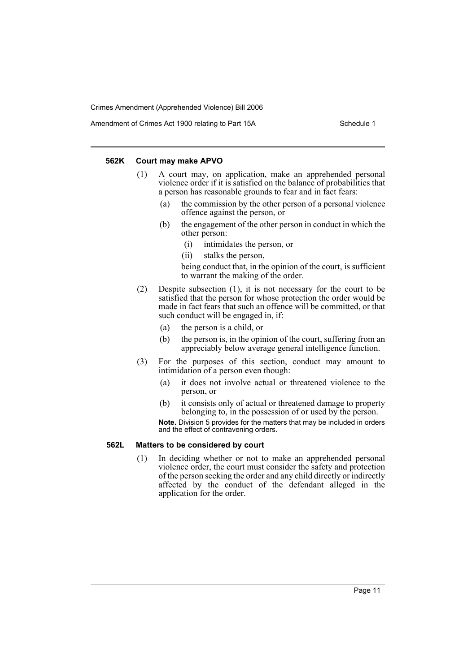Amendment of Crimes Act 1900 relating to Part 15A Schedule 1

#### **562K Court may make APVO**

- (1) A court may, on application, make an apprehended personal violence order if it is satisfied on the balance of probabilities that a person has reasonable grounds to fear and in fact fears:
	- (a) the commission by the other person of a personal violence offence against the person, or
	- (b) the engagement of the other person in conduct in which the other person:
		- (i) intimidates the person, or
		- (ii) stalks the person,

being conduct that, in the opinion of the court, is sufficient to warrant the making of the order.

- (2) Despite subsection (1), it is not necessary for the court to be satisfied that the person for whose protection the order would be made in fact fears that such an offence will be committed, or that such conduct will be engaged in, if:
	- (a) the person is a child, or
	- (b) the person is, in the opinion of the court, suffering from an appreciably below average general intelligence function.
- (3) For the purposes of this section, conduct may amount to intimidation of a person even though:
	- (a) it does not involve actual or threatened violence to the person, or
	- (b) it consists only of actual or threatened damage to property belonging to, in the possession of or used by the person. **Note.** Division 5 provides for the matters that may be included in orders and the effect of contravening orders.

#### **562L Matters to be considered by court**

(1) In deciding whether or not to make an apprehended personal violence order, the court must consider the safety and protection of the person seeking the order and any child directly or indirectly affected by the conduct of the defendant alleged in the application for the order.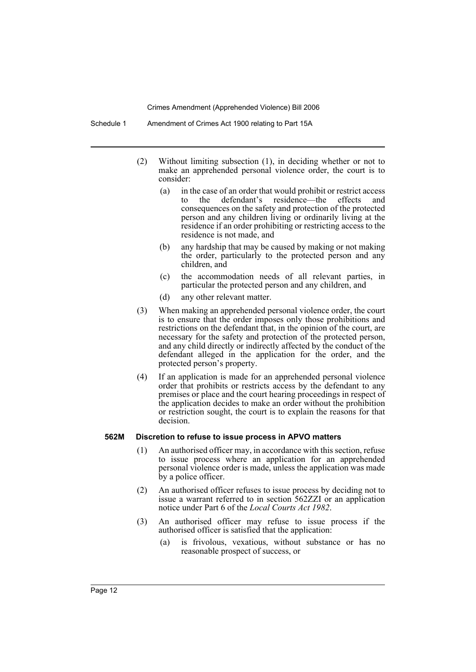- (2) Without limiting subsection (1), in deciding whether or not to make an apprehended personal violence order, the court is to consider:
	- (a) in the case of an order that would prohibit or restrict access to the defendant's residence—the effects and consequences on the safety and protection of the protected person and any children living or ordinarily living at the residence if an order prohibiting or restricting access to the residence is not made, and
	- (b) any hardship that may be caused by making or not making the order, particularly to the protected person and any children, and
	- (c) the accommodation needs of all relevant parties, in particular the protected person and any children, and
	- (d) any other relevant matter.
- (3) When making an apprehended personal violence order, the court is to ensure that the order imposes only those prohibitions and restrictions on the defendant that, in the opinion of the court, are necessary for the safety and protection of the protected person, and any child directly or indirectly affected by the conduct of the defendant alleged in the application for the order, and the protected person's property.
- (4) If an application is made for an apprehended personal violence order that prohibits or restricts access by the defendant to any premises or place and the court hearing proceedings in respect of the application decides to make an order without the prohibition or restriction sought, the court is to explain the reasons for that decision.

#### **562M Discretion to refuse to issue process in APVO matters**

- (1) An authorised officer may, in accordance with this section, refuse to issue process where an application for an apprehended personal violence order is made, unless the application was made by a police officer.
- (2) An authorised officer refuses to issue process by deciding not to issue a warrant referred to in section 562ZZI or an application notice under Part 6 of the *Local Courts Act 1982*.
- (3) An authorised officer may refuse to issue process if the authorised officer is satisfied that the application:
	- (a) is frivolous, vexatious, without substance or has no reasonable prospect of success, or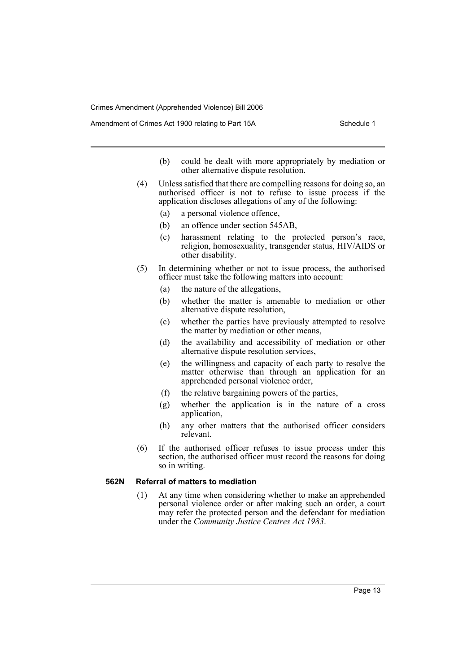Amendment of Crimes Act 1900 relating to Part 15A Schedule 1

- (b) could be dealt with more appropriately by mediation or other alternative dispute resolution.
- (4) Unless satisfied that there are compelling reasons for doing so, an authorised officer is not to refuse to issue process if the application discloses allegations of any of the following:
	- (a) a personal violence offence,
	- (b) an offence under section 545AB,
	- (c) harassment relating to the protected person's race, religion, homosexuality, transgender status, HIV/AIDS or other disability.
- (5) In determining whether or not to issue process, the authorised officer must take the following matters into account:
	- (a) the nature of the allegations,
	- (b) whether the matter is amenable to mediation or other alternative dispute resolution,
	- (c) whether the parties have previously attempted to resolve the matter by mediation or other means,
	- (d) the availability and accessibility of mediation or other alternative dispute resolution services,
	- (e) the willingness and capacity of each party to resolve the matter otherwise than through an application for an apprehended personal violence order,
	- (f) the relative bargaining powers of the parties,
	- (g) whether the application is in the nature of a cross application,
	- (h) any other matters that the authorised officer considers relevant.
- (6) If the authorised officer refuses to issue process under this section, the authorised officer must record the reasons for doing so in writing.

#### **562N Referral of matters to mediation**

(1) At any time when considering whether to make an apprehended personal violence order or after making such an order, a court may refer the protected person and the defendant for mediation under the *Community Justice Centres Act 1983*.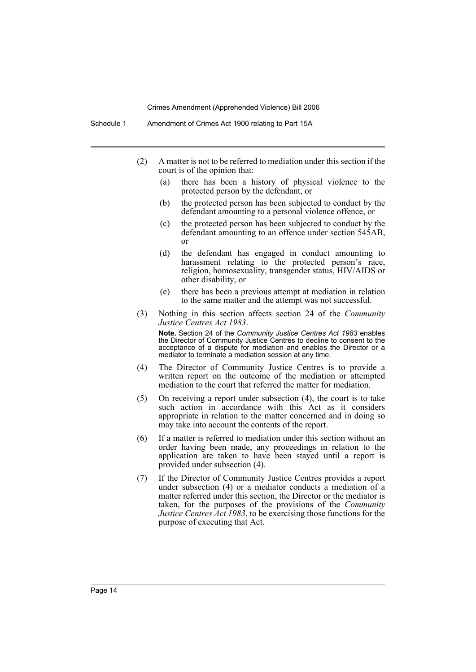Schedule 1 Amendment of Crimes Act 1900 relating to Part 15A

- (2) A matter is not to be referred to mediation under this section if the court is of the opinion that:
	- (a) there has been a history of physical violence to the protected person by the defendant, or
	- (b) the protected person has been subjected to conduct by the defendant amounting to a personal violence offence, or
	- (c) the protected person has been subjected to conduct by the defendant amounting to an offence under section 545AB, or
	- (d) the defendant has engaged in conduct amounting to harassment relating to the protected person's race, religion, homosexuality, transgender status, HIV/AIDS or other disability, or
	- (e) there has been a previous attempt at mediation in relation to the same matter and the attempt was not successful.
- (3) Nothing in this section affects section 24 of the *Community Justice Centres Act 1983*.

**Note.** Section 24 of the *Community Justice Centres Act 1983* enables the Director of Community Justice Centres to decline to consent to the acceptance of a dispute for mediation and enables the Director or a mediator to terminate a mediation session at any time.

- (4) The Director of Community Justice Centres is to provide a written report on the outcome of the mediation or attempted mediation to the court that referred the matter for mediation.
- (5) On receiving a report under subsection (4), the court is to take such action in accordance with this Act as it considers appropriate in relation to the matter concerned and in doing so may take into account the contents of the report.
- (6) If a matter is referred to mediation under this section without an order having been made, any proceedings in relation to the application are taken to have been stayed until a report is provided under subsection (4).
- (7) If the Director of Community Justice Centres provides a report under subsection (4) or a mediator conducts a mediation of a matter referred under this section, the Director or the mediator is taken, for the purposes of the provisions of the *Community Justice Centres Act 1983*, to be exercising those functions for the purpose of executing that Act.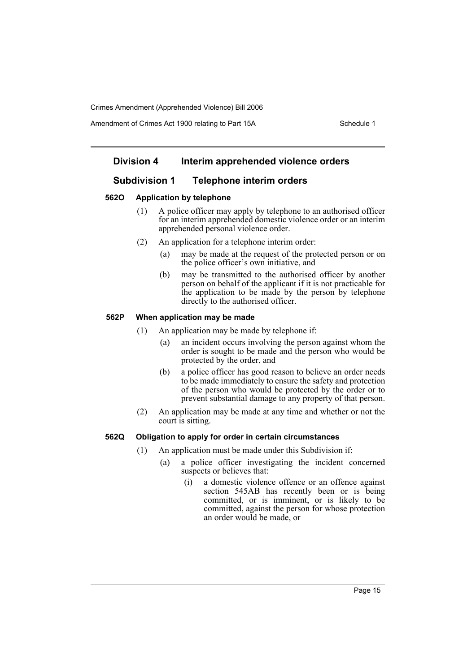Amendment of Crimes Act 1900 relating to Part 15A Schedule 1

# **Division 4 Interim apprehended violence orders**

# **Subdivision 1 Telephone interim orders**

#### **562O Application by telephone**

- (1) A police officer may apply by telephone to an authorised officer for an interim apprehended domestic violence order or an interim apprehended personal violence order.
- (2) An application for a telephone interim order:
	- (a) may be made at the request of the protected person or on the police officer's own initiative, and
	- (b) may be transmitted to the authorised officer by another person on behalf of the applicant if it is not practicable for the application to be made by the person by telephone directly to the authorised officer.

#### **562P When application may be made**

- (1) An application may be made by telephone if:
	- (a) an incident occurs involving the person against whom the order is sought to be made and the person who would be protected by the order, and
	- (b) a police officer has good reason to believe an order needs to be made immediately to ensure the safety and protection of the person who would be protected by the order or to prevent substantial damage to any property of that person.
- (2) An application may be made at any time and whether or not the court is sitting.

#### **562Q Obligation to apply for order in certain circumstances**

- (1) An application must be made under this Subdivision if:
	- (a) a police officer investigating the incident concerned suspects or believes that:
		- (i) a domestic violence offence or an offence against section 545AB has recently been or is being committed, or is imminent, or is likely to be committed, against the person for whose protection an order would be made, or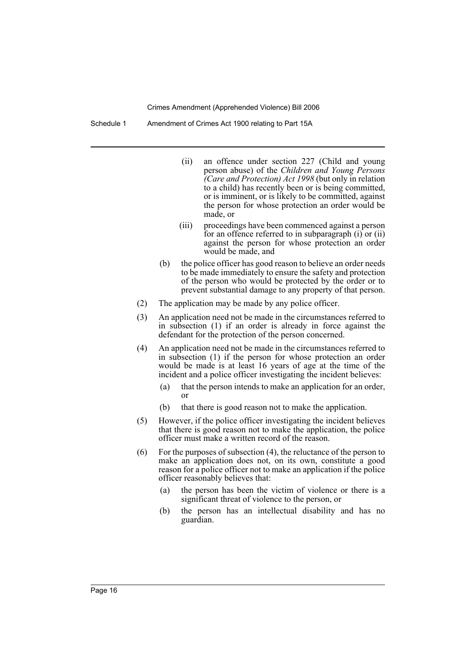Schedule 1 Amendment of Crimes Act 1900 relating to Part 15A

- (ii) an offence under section 227 (Child and young person abuse) of the *Children and Young Persons (Care and Protection) Act 1998* (but only in relation to a child) has recently been or is being committed, or is imminent, or is likely to be committed, against the person for whose protection an order would be made, or
- (iii) proceedings have been commenced against a person for an offence referred to in subparagraph (i) or (ii) against the person for whose protection an order would be made, and
- (b) the police officer has good reason to believe an order needs to be made immediately to ensure the safety and protection of the person who would be protected by the order or to prevent substantial damage to any property of that person.
- (2) The application may be made by any police officer.
- (3) An application need not be made in the circumstances referred to in subsection (1) if an order is already in force against the defendant for the protection of the person concerned.
- (4) An application need not be made in the circumstances referred to in subsection (1) if the person for whose protection an order would be made is at least 16 years of age at the time of the incident and a police officer investigating the incident believes:
	- (a) that the person intends to make an application for an order, or
	- (b) that there is good reason not to make the application.
- (5) However, if the police officer investigating the incident believes that there is good reason not to make the application, the police officer must make a written record of the reason.
- (6) For the purposes of subsection (4), the reluctance of the person to make an application does not, on its own, constitute a good reason for a police officer not to make an application if the police officer reasonably believes that:
	- (a) the person has been the victim of violence or there is a significant threat of violence to the person, or
	- (b) the person has an intellectual disability and has no guardian.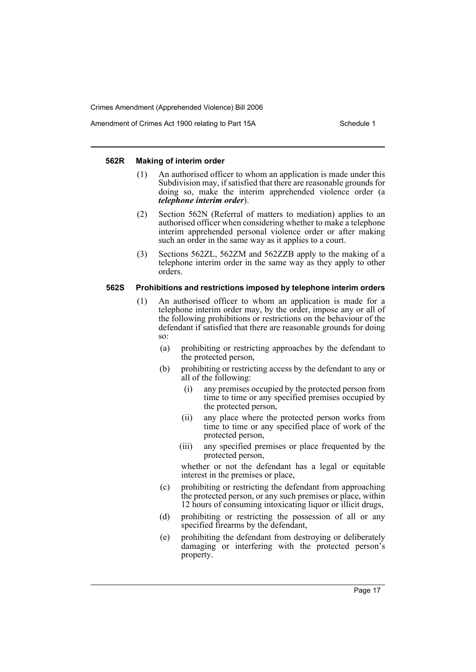Amendment of Crimes Act 1900 relating to Part 15A Schedule 1

#### **562R Making of interim order**

- (1) An authorised officer to whom an application is made under this Subdivision may, if satisfied that there are reasonable grounds for doing so, make the interim apprehended violence order (a *telephone interim order*).
- (2) Section 562N (Referral of matters to mediation) applies to an authorised officer when considering whether to make a telephone interim apprehended personal violence order or after making such an order in the same way as it applies to a court.
- (3) Sections 562ZL, 562ZM and 562ZZB apply to the making of a telephone interim order in the same way as they apply to other orders.

#### **562S Prohibitions and restrictions imposed by telephone interim orders**

- (1) An authorised officer to whom an application is made for a telephone interim order may, by the order, impose any or all of the following prohibitions or restrictions on the behaviour of the defendant if satisfied that there are reasonable grounds for doing so:
	- (a) prohibiting or restricting approaches by the defendant to the protected person,
	- (b) prohibiting or restricting access by the defendant to any or all of the following:
		- (i) any premises occupied by the protected person from time to time or any specified premises occupied by the protected person,
		- (ii) any place where the protected person works from time to time or any specified place of work of the protected person,
		- (iii) any specified premises or place frequented by the protected person,

whether or not the defendant has a legal or equitable interest in the premises or place,

- (c) prohibiting or restricting the defendant from approaching the protected person, or any such premises or place, within 12 hours of consuming intoxicating liquor or illicit drugs,
- (d) prohibiting or restricting the possession of all or any specified firearms by the defendant,
- (e) prohibiting the defendant from destroying or deliberately damaging or interfering with the protected person's property.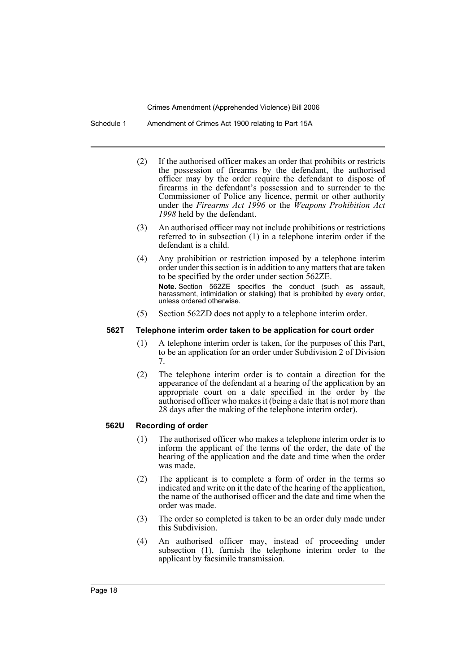Schedule 1 Amendment of Crimes Act 1900 relating to Part 15A

- (2) If the authorised officer makes an order that prohibits or restricts the possession of firearms by the defendant, the authorised officer may by the order require the defendant to dispose of firearms in the defendant's possession and to surrender to the Commissioner of Police any licence, permit or other authority under the *Firearms Act 1996* or the *Weapons Prohibition Act 1998* held by the defendant.
- (3) An authorised officer may not include prohibitions or restrictions referred to in subsection (1) in a telephone interim order if the defendant is a child.
- (4) Any prohibition or restriction imposed by a telephone interim order under this section is in addition to any matters that are taken to be specified by the order under section 562ZE. **Note.** Section 562ZE specifies the conduct (such as assault, harassment, intimidation or stalking) that is prohibited by every order, unless ordered otherwise.
- (5) Section 562ZD does not apply to a telephone interim order.

#### **562T Telephone interim order taken to be application for court order**

- (1) A telephone interim order is taken, for the purposes of this Part, to be an application for an order under Subdivision 2 of Division 7.
- (2) The telephone interim order is to contain a direction for the appearance of the defendant at a hearing of the application by an appropriate court on a date specified in the order by the authorised officer who makes it (being a date that is not more than 28 days after the making of the telephone interim order).

# **562U Recording of order**

- (1) The authorised officer who makes a telephone interim order is to inform the applicant of the terms of the order, the date of the hearing of the application and the date and time when the order was made.
- (2) The applicant is to complete a form of order in the terms so indicated and write on it the date of the hearing of the application, the name of the authorised officer and the date and time when the order was made.
- (3) The order so completed is taken to be an order duly made under this Subdivision.
- (4) An authorised officer may, instead of proceeding under subsection (1), furnish the telephone interim order to the applicant by facsimile transmission.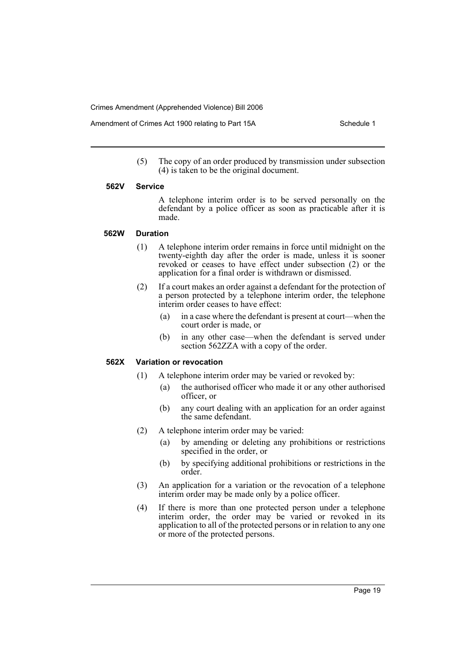Amendment of Crimes Act 1900 relating to Part 15A Schedule 1

(5) The copy of an order produced by transmission under subsection (4) is taken to be the original document.

#### **562V Service**

A telephone interim order is to be served personally on the defendant by a police officer as soon as practicable after it is made.

#### **562W Duration**

- (1) A telephone interim order remains in force until midnight on the twenty-eighth day after the order is made, unless it is sooner revoked or ceases to have effect under subsection (2) or the application for a final order is withdrawn or dismissed.
- (2) If a court makes an order against a defendant for the protection of a person protected by a telephone interim order, the telephone interim order ceases to have effect:
	- (a) in a case where the defendant is present at court—when the court order is made, or
	- (b) in any other case—when the defendant is served under section 562ZZA with a copy of the order.

# **562X Variation or revocation**

- (1) A telephone interim order may be varied or revoked by:
	- (a) the authorised officer who made it or any other authorised officer, or
	- (b) any court dealing with an application for an order against the same defendant.
- (2) A telephone interim order may be varied:
	- (a) by amending or deleting any prohibitions or restrictions specified in the order, or
	- (b) by specifying additional prohibitions or restrictions in the order.
- (3) An application for a variation or the revocation of a telephone interim order may be made only by a police officer.
- (4) If there is more than one protected person under a telephone interim order, the order may be varied or revoked in its application to all of the protected persons or in relation to any one or more of the protected persons.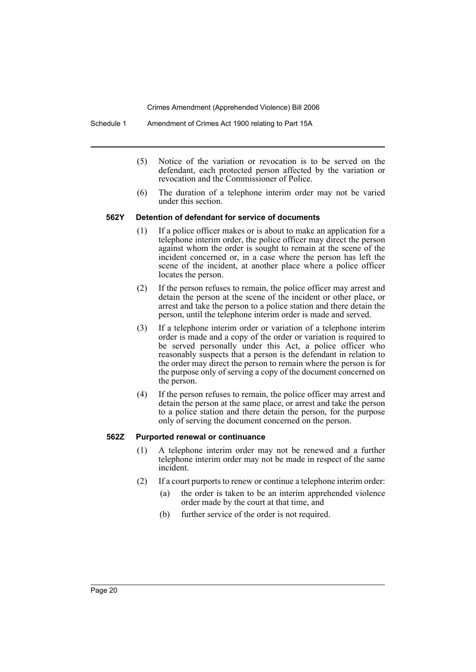Schedule 1 Amendment of Crimes Act 1900 relating to Part 15A

- (5) Notice of the variation or revocation is to be served on the defendant, each protected person affected by the variation or revocation and the Commissioner of Police.
- (6) The duration of a telephone interim order may not be varied under this section.

#### **562Y Detention of defendant for service of documents**

- (1) If a police officer makes or is about to make an application for a telephone interim order, the police officer may direct the person against whom the order is sought to remain at the scene of the incident concerned or, in a case where the person has left the scene of the incident, at another place where a police officer locates the person.
- (2) If the person refuses to remain, the police officer may arrest and detain the person at the scene of the incident or other place, or arrest and take the person to a police station and there detain the person, until the telephone interim order is made and served.
- (3) If a telephone interim order or variation of a telephone interim order is made and a copy of the order or variation is required to be served personally under this Act, a police officer who reasonably suspects that a person is the defendant in relation to the order may direct the person to remain where the person is for the purpose only of serving a copy of the document concerned on the person.
- (4) If the person refuses to remain, the police officer may arrest and detain the person at the same place, or arrest and take the person to a police station and there detain the person, for the purpose only of serving the document concerned on the person.

# **562Z Purported renewal or continuance**

- (1) A telephone interim order may not be renewed and a further telephone interim order may not be made in respect of the same incident.
- (2) If a court purports to renew or continue a telephone interim order:
	- (a) the order is taken to be an interim apprehended violence order made by the court at that time, and
	- (b) further service of the order is not required.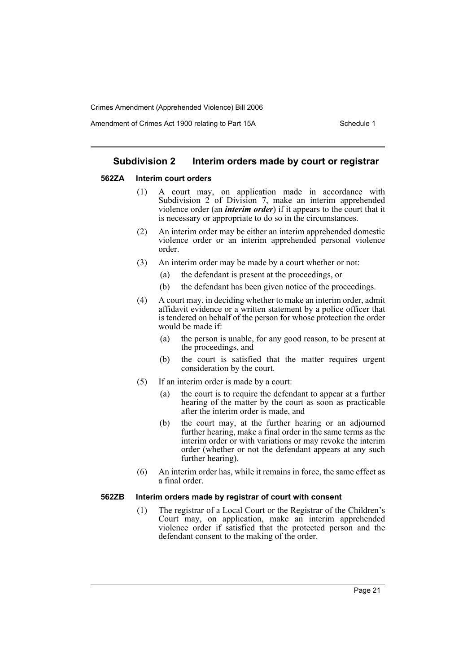Amendment of Crimes Act 1900 relating to Part 15A Schedule 1

### **Subdivision 2 Interim orders made by court or registrar**

#### **562ZA Interim court orders**

- (1) A court may, on application made in accordance with Subdivision  $2$  of Division 7, make an interim apprehended violence order (an *interim order*) if it appears to the court that it is necessary or appropriate to do so in the circumstances.
- (2) An interim order may be either an interim apprehended domestic violence order or an interim apprehended personal violence order.
- (3) An interim order may be made by a court whether or not:
	- (a) the defendant is present at the proceedings, or
	- (b) the defendant has been given notice of the proceedings.
- (4) A court may, in deciding whether to make an interim order, admit affidavit evidence or a written statement by a police officer that is tendered on behalf of the person for whose protection the order would be made if:
	- (a) the person is unable, for any good reason, to be present at the proceedings, and
	- (b) the court is satisfied that the matter requires urgent consideration by the court.
- (5) If an interim order is made by a court:
	- (a) the court is to require the defendant to appear at a further hearing of the matter by the court as soon as practicable after the interim order is made, and
	- (b) the court may, at the further hearing or an adjourned further hearing, make a final order in the same terms as the interim order or with variations or may revoke the interim order (whether or not the defendant appears at any such further hearing).
- (6) An interim order has, while it remains in force, the same effect as a final order.

#### **562ZB Interim orders made by registrar of court with consent**

(1) The registrar of a Local Court or the Registrar of the Children's Court may, on application, make an interim apprehended violence order if satisfied that the protected person and the defendant consent to the making of the order.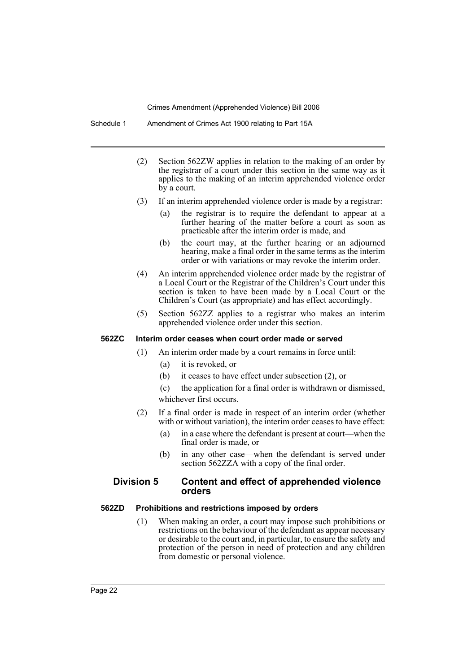Schedule 1 Amendment of Crimes Act 1900 relating to Part 15A

- (2) Section 562ZW applies in relation to the making of an order by the registrar of a court under this section in the same way as it applies to the making of an interim apprehended violence order by a court.
- (3) If an interim apprehended violence order is made by a registrar:
	- (a) the registrar is to require the defendant to appear at a further hearing of the matter before a court as soon as practicable after the interim order is made, and
	- (b) the court may, at the further hearing or an adjourned hearing, make a final order in the same terms as the interim order or with variations or may revoke the interim order.
- (4) An interim apprehended violence order made by the registrar of a Local Court or the Registrar of the Children's Court under this section is taken to have been made by a Local Court or the Children's Court (as appropriate) and has effect accordingly.
- (5) Section 562ZZ applies to a registrar who makes an interim apprehended violence order under this section.

### **562ZC Interim order ceases when court order made or served**

- (1) An interim order made by a court remains in force until:
	- (a) it is revoked, or
	- (b) it ceases to have effect under subsection (2), or
	- (c) the application for a final order is withdrawn or dismissed, whichever first occurs.
- (2) If a final order is made in respect of an interim order (whether with or without variation), the interim order ceases to have effect:
	- (a) in a case where the defendant is present at court—when the final order is made, or
	- (b) in any other case—when the defendant is served under section 562ZZA with a copy of the final order.

# **Division 5 Content and effect of apprehended violence orders**

#### **562ZD Prohibitions and restrictions imposed by orders**

(1) When making an order, a court may impose such prohibitions or restrictions on the behaviour of the defendant as appear necessary or desirable to the court and, in particular, to ensure the safety and protection of the person in need of protection and any children from domestic or personal violence.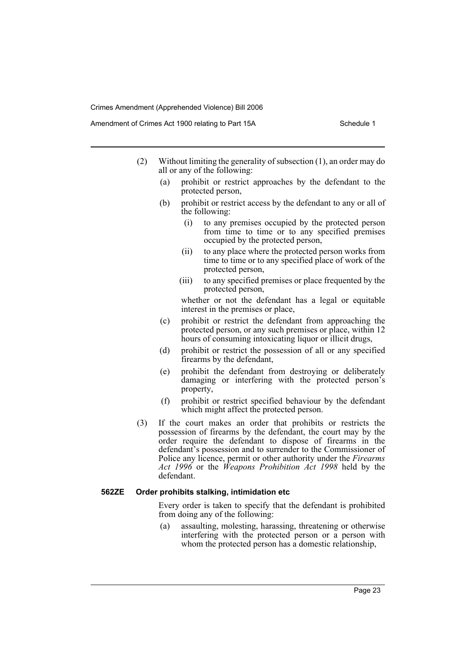Amendment of Crimes Act 1900 relating to Part 15A Schedule 1

- (2) Without limiting the generality of subsection (1), an order may do all or any of the following:
	- (a) prohibit or restrict approaches by the defendant to the protected person,
	- (b) prohibit or restrict access by the defendant to any or all of the following:
		- (i) to any premises occupied by the protected person from time to time or to any specified premises occupied by the protected person,
		- (ii) to any place where the protected person works from time to time or to any specified place of work of the protected person,
		- (iii) to any specified premises or place frequented by the protected person,

whether or not the defendant has a legal or equitable interest in the premises or place,

- (c) prohibit or restrict the defendant from approaching the protected person, or any such premises or place, within 12 hours of consuming intoxicating liquor or illicit drugs,
- (d) prohibit or restrict the possession of all or any specified firearms by the defendant,
- (e) prohibit the defendant from destroying or deliberately damaging or interfering with the protected person's property,
- (f) prohibit or restrict specified behaviour by the defendant which might affect the protected person.
- (3) If the court makes an order that prohibits or restricts the possession of firearms by the defendant, the court may by the order require the defendant to dispose of firearms in the defendant's possession and to surrender to the Commissioner of Police any licence, permit or other authority under the *Firearms Act 1996* or the *Weapons Prohibition Act 1998* held by the defendant.

#### **562ZE Order prohibits stalking, intimidation etc**

Every order is taken to specify that the defendant is prohibited from doing any of the following:

(a) assaulting, molesting, harassing, threatening or otherwise interfering with the protected person or a person with whom the protected person has a domestic relationship,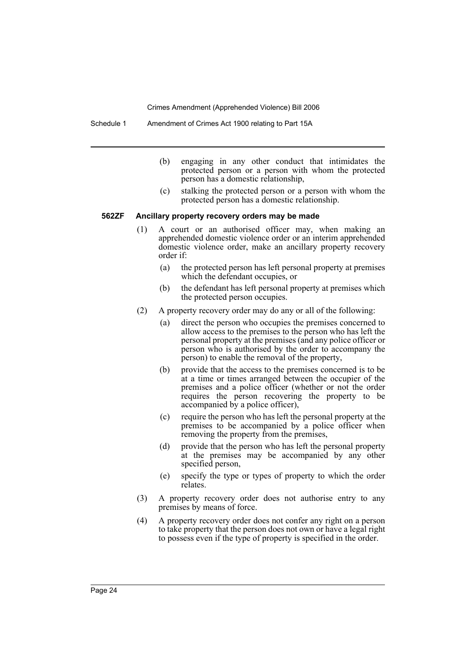Schedule 1 Amendment of Crimes Act 1900 relating to Part 15A

- (b) engaging in any other conduct that intimidates the protected person or a person with whom the protected person has a domestic relationship,
- (c) stalking the protected person or a person with whom the protected person has a domestic relationship.

### **562ZF Ancillary property recovery orders may be made**

- (1) A court or an authorised officer may, when making an apprehended domestic violence order or an interim apprehended domestic violence order, make an ancillary property recovery order if:
	- (a) the protected person has left personal property at premises which the defendant occupies, or
	- (b) the defendant has left personal property at premises which the protected person occupies.
- (2) A property recovery order may do any or all of the following:
	- (a) direct the person who occupies the premises concerned to allow access to the premises to the person who has left the personal property at the premises (and any police officer or person who is authorised by the order to accompany the person) to enable the removal of the property,
	- (b) provide that the access to the premises concerned is to be at a time or times arranged between the occupier of the premises and a police officer (whether or not the order requires the person recovering the property to be accompanied by a police officer),
	- (c) require the person who has left the personal property at the premises to be accompanied by a police officer when removing the property from the premises,
	- (d) provide that the person who has left the personal property at the premises may be accompanied by any other specified person,
	- (e) specify the type or types of property to which the order relates.
- (3) A property recovery order does not authorise entry to any premises by means of force.
- (4) A property recovery order does not confer any right on a person to take property that the person does not own or have a legal right to possess even if the type of property is specified in the order.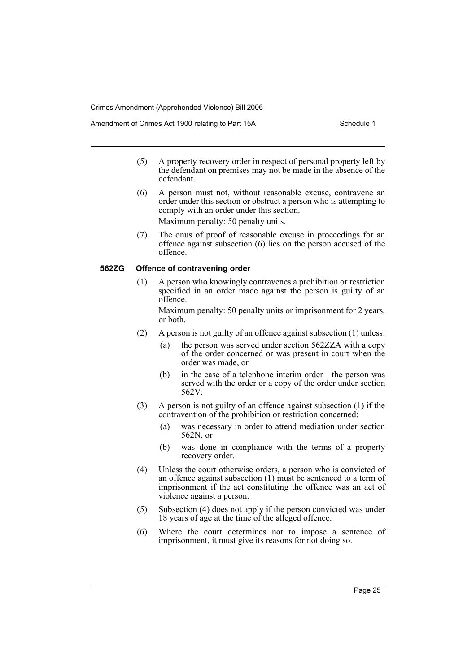Amendment of Crimes Act 1900 relating to Part 15A Schedule 1

- (5) A property recovery order in respect of personal property left by the defendant on premises may not be made in the absence of the defendant.
- (6) A person must not, without reasonable excuse, contravene an order under this section or obstruct a person who is attempting to comply with an order under this section.

Maximum penalty: 50 penalty units.

(7) The onus of proof of reasonable excuse in proceedings for an offence against subsection (6) lies on the person accused of the offence.

#### **562ZG Offence of contravening order**

(1) A person who knowingly contravenes a prohibition or restriction specified in an order made against the person is guilty of an offence.

Maximum penalty: 50 penalty units or imprisonment for 2 years, or both.

- (2) A person is not guilty of an offence against subsection (1) unless:
	- (a) the person was served under section 562ZZA with a copy of the order concerned or was present in court when the order was made, or
	- (b) in the case of a telephone interim order—the person was served with the order or a copy of the order under section 562V.
- (3) A person is not guilty of an offence against subsection (1) if the contravention of the prohibition or restriction concerned:
	- (a) was necessary in order to attend mediation under section 562N, or
	- (b) was done in compliance with the terms of a property recovery order.
- (4) Unless the court otherwise orders, a person who is convicted of an offence against subsection (1) must be sentenced to a term of imprisonment if the act constituting the offence was an act of violence against a person.
- (5) Subsection (4) does not apply if the person convicted was under 18 years of age at the time of the alleged offence.
- (6) Where the court determines not to impose a sentence of imprisonment, it must give its reasons for not doing so.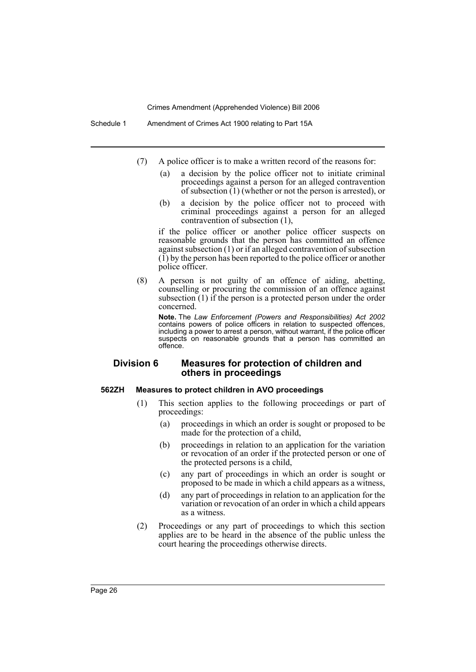Schedule 1 Amendment of Crimes Act 1900 relating to Part 15A

- (7) A police officer is to make a written record of the reasons for:
	- (a) a decision by the police officer not to initiate criminal proceedings against a person for an alleged contravention of subsection (1) (whether or not the person is arrested), or
	- (b) a decision by the police officer not to proceed with criminal proceedings against a person for an alleged contravention of subsection (1),

if the police officer or another police officer suspects on reasonable grounds that the person has committed an offence against subsection (1) or if an alleged contravention of subsection  $(1)$  by the person has been reported to the police officer or another police officer.

(8) A person is not guilty of an offence of aiding, abetting, counselling or procuring the commission of an offence against subsection  $(1)$  if the person is a protected person under the order concerned.

**Note.** The *Law Enforcement (Powers and Responsibilities) Act 2002* contains powers of police officers in relation to suspected offences, including a power to arrest a person, without warrant, if the police officer suspects on reasonable grounds that a person has committed an offence.

# **Division 6 Measures for protection of children and others in proceedings**

#### **562ZH Measures to protect children in AVO proceedings**

- (1) This section applies to the following proceedings or part of proceedings:
	- (a) proceedings in which an order is sought or proposed to be made for the protection of a child,
	- (b) proceedings in relation to an application for the variation or revocation of an order if the protected person or one of the protected persons is a child,
	- (c) any part of proceedings in which an order is sought or proposed to be made in which a child appears as a witness,
	- (d) any part of proceedings in relation to an application for the variation or revocation of an order in which a child appears as a witness.
- (2) Proceedings or any part of proceedings to which this section applies are to be heard in the absence of the public unless the court hearing the proceedings otherwise directs.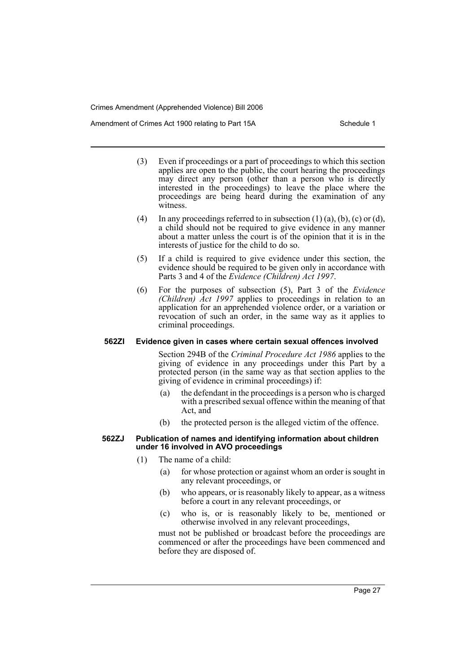Amendment of Crimes Act 1900 relating to Part 15A Schedule 1

- (3) Even if proceedings or a part of proceedings to which this section applies are open to the public, the court hearing the proceedings may direct any person (other than a person who is directly interested in the proceedings) to leave the place where the proceedings are being heard during the examination of any witness.
- (4) In any proceedings referred to in subsection  $(1)$   $(a)$ ,  $(b)$ ,  $(c)$  or  $(d)$ , a child should not be required to give evidence in any manner about a matter unless the court is of the opinion that it is in the interests of justice for the child to do so.
- (5) If a child is required to give evidence under this section, the evidence should be required to be given only in accordance with Parts 3 and 4 of the *Evidence (Children) Act 1997*.
- (6) For the purposes of subsection (5), Part 3 of the *Evidence (Children) Act 1997* applies to proceedings in relation to an application for an apprehended violence order, or a variation or revocation of such an order, in the same way as it applies to criminal proceedings.

#### **562ZI Evidence given in cases where certain sexual offences involved**

Section 294B of the *Criminal Procedure Act 1986* applies to the giving of evidence in any proceedings under this Part by a protected person (in the same way as that section applies to the giving of evidence in criminal proceedings) if:

- (a) the defendant in the proceedings is a person who is charged with a prescribed sexual offence within the meaning of that Act, and
- (b) the protected person is the alleged victim of the offence.

#### **562ZJ Publication of names and identifying information about children under 16 involved in AVO proceedings**

- (1) The name of a child:
	- (a) for whose protection or against whom an order is sought in any relevant proceedings, or
	- (b) who appears, or is reasonably likely to appear, as a witness before a court in any relevant proceedings, or
	- (c) who is, or is reasonably likely to be, mentioned or otherwise involved in any relevant proceedings,

must not be published or broadcast before the proceedings are commenced or after the proceedings have been commenced and before they are disposed of.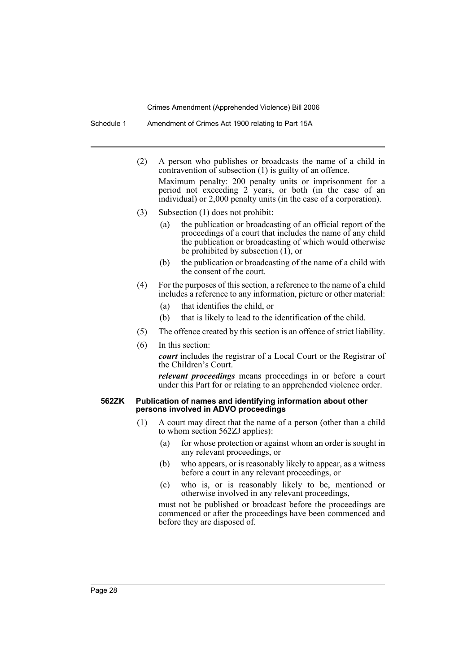Schedule 1 Amendment of Crimes Act 1900 relating to Part 15A

- (2) A person who publishes or broadcasts the name of a child in contravention of subsection (1) is guilty of an offence. Maximum penalty: 200 penalty units or imprisonment for a period not exceeding 2 years, or both (in the case of an individual) or 2,000 penalty units (in the case of a corporation).
- (3) Subsection (1) does not prohibit:
	- (a) the publication or broadcasting of an official report of the proceedings of a court that includes the name of any child the publication or broadcasting of which would otherwise be prohibited by subsection  $(1)$ , or
	- (b) the publication or broadcasting of the name of a child with the consent of the court.
- (4) For the purposes of this section, a reference to the name of a child includes a reference to any information, picture or other material:
	- (a) that identifies the child, or
	- (b) that is likely to lead to the identification of the child.
- (5) The offence created by this section is an offence of strict liability.
- (6) In this section:

*court* includes the registrar of a Local Court or the Registrar of the Children's Court.

*relevant proceedings* means proceedings in or before a court under this Part for or relating to an apprehended violence order.

#### **562ZK Publication of names and identifying information about other persons involved in ADVO proceedings**

- (1) A court may direct that the name of a person (other than a child to whom section 562ZJ applies):
	- (a) for whose protection or against whom an order is sought in any relevant proceedings, or
	- (b) who appears, or is reasonably likely to appear, as a witness before a court in any relevant proceedings, or
	- (c) who is, or is reasonably likely to be, mentioned or otherwise involved in any relevant proceedings,

must not be published or broadcast before the proceedings are commenced or after the proceedings have been commenced and before they are disposed of.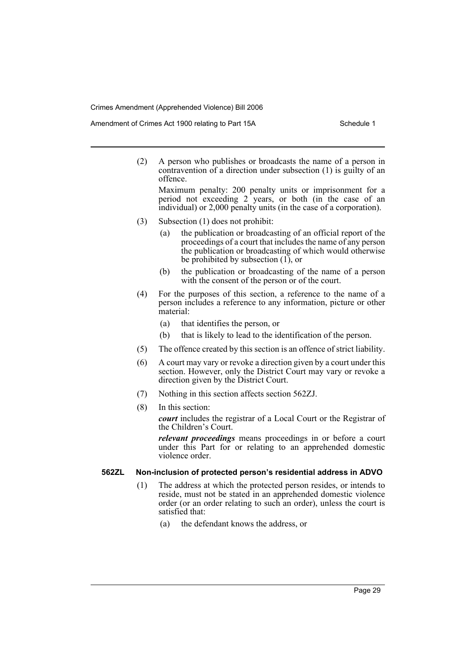Amendment of Crimes Act 1900 relating to Part 15A Schedule 1

(2) A person who publishes or broadcasts the name of a person in contravention of a direction under subsection (1) is guilty of an offence.

Maximum penalty: 200 penalty units or imprisonment for a period not exceeding 2 years, or both (in the case of an individual) or 2,000 penalty units (in the case of a corporation).

- (3) Subsection (1) does not prohibit:
	- (a) the publication or broadcasting of an official report of the proceedings of a court that includes the name of any person the publication or broadcasting of which would otherwise be prohibited by subsection (1), or
	- (b) the publication or broadcasting of the name of a person with the consent of the person or of the court.
- (4) For the purposes of this section, a reference to the name of a person includes a reference to any information, picture or other material:
	- (a) that identifies the person, or
	- (b) that is likely to lead to the identification of the person.
- (5) The offence created by this section is an offence of strict liability.
- (6) A court may vary or revoke a direction given by a court under this section. However, only the District Court may vary or revoke a direction given by the District Court.
- (7) Nothing in this section affects section 562ZJ.
- (8) In this section:

*court* includes the registrar of a Local Court or the Registrar of the Children's Court.

*relevant proceedings* means proceedings in or before a court under this Part for or relating to an apprehended domestic violence order.

#### **562ZL Non-inclusion of protected person's residential address in ADVO**

- (1) The address at which the protected person resides, or intends to reside, must not be stated in an apprehended domestic violence order (or an order relating to such an order), unless the court is satisfied that:
	- (a) the defendant knows the address, or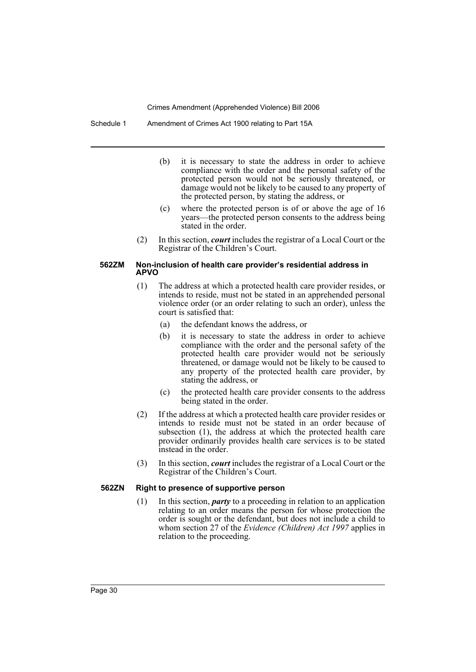Schedule 1 Amendment of Crimes Act 1900 relating to Part 15A

- (b) it is necessary to state the address in order to achieve compliance with the order and the personal safety of the protected person would not be seriously threatened, or damage would not be likely to be caused to any property of the protected person, by stating the address, or
- (c) where the protected person is of or above the age of 16 years—the protected person consents to the address being stated in the order.
- (2) In this section, *court* includes the registrar of a Local Court or the Registrar of the Children's Court.

#### **562ZM Non-inclusion of health care provider's residential address in APVO**

- (1) The address at which a protected health care provider resides, or intends to reside, must not be stated in an apprehended personal violence order (or an order relating to such an order), unless the court is satisfied that:
	- (a) the defendant knows the address, or
	- (b) it is necessary to state the address in order to achieve compliance with the order and the personal safety of the protected health care provider would not be seriously threatened, or damage would not be likely to be caused to any property of the protected health care provider, by stating the address, or
	- (c) the protected health care provider consents to the address being stated in the order.
- (2) If the address at which a protected health care provider resides or intends to reside must not be stated in an order because of subsection (1), the address at which the protected health care provider ordinarily provides health care services is to be stated instead in the order.
- (3) In this section, *court* includes the registrar of a Local Court or the Registrar of the Children's Court.

#### **562ZN Right to presence of supportive person**

(1) In this section, *party* to a proceeding in relation to an application relating to an order means the person for whose protection the order is sought or the defendant, but does not include a child to whom section 27 of the *Evidence (Children) Act 1997* applies in relation to the proceeding.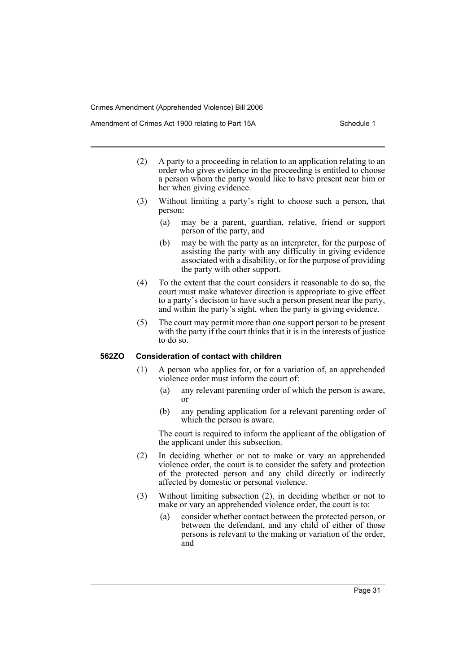Amendment of Crimes Act 1900 relating to Part 15A Schedule 1

- (2) A party to a proceeding in relation to an application relating to an order who gives evidence in the proceeding is entitled to choose a person whom the party would like to have present near him or her when giving evidence.
- (3) Without limiting a party's right to choose such a person, that person:
	- (a) may be a parent, guardian, relative, friend or support person of the party, and
	- (b) may be with the party as an interpreter, for the purpose of assisting the party with any difficulty in giving evidence associated with a disability, or for the purpose of providing the party with other support.
- (4) To the extent that the court considers it reasonable to do so, the court must make whatever direction is appropriate to give effect to a party's decision to have such a person present near the party, and within the party's sight, when the party is giving evidence.
- (5) The court may permit more than one support person to be present with the party if the court thinks that it is in the interests of justice to do so.

#### **562ZO Consideration of contact with children**

- (1) A person who applies for, or for a variation of, an apprehended violence order must inform the court of:
	- (a) any relevant parenting order of which the person is aware, or
	- (b) any pending application for a relevant parenting order of which the person is aware.

The court is required to inform the applicant of the obligation of the applicant under this subsection.

- (2) In deciding whether or not to make or vary an apprehended violence order, the court is to consider the safety and protection of the protected person and any child directly or indirectly affected by domestic or personal violence.
- (3) Without limiting subsection (2), in deciding whether or not to make or vary an apprehended violence order, the court is to:
	- (a) consider whether contact between the protected person, or between the defendant, and any child of either of those persons is relevant to the making or variation of the order, and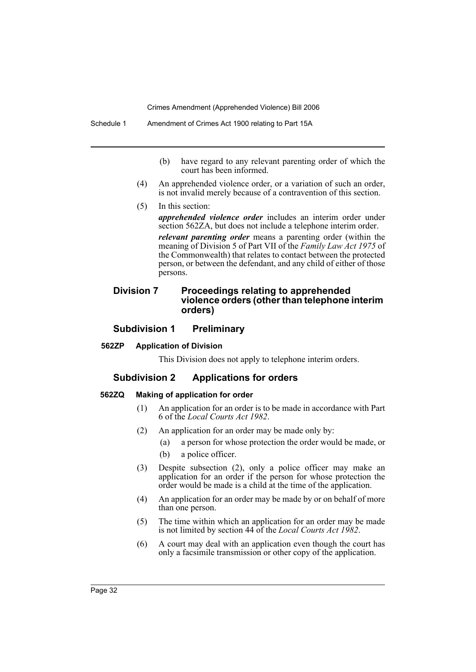- (b) have regard to any relevant parenting order of which the court has been informed.
- (4) An apprehended violence order, or a variation of such an order, is not invalid merely because of a contravention of this section.
- (5) In this section:

*apprehended violence order* includes an interim order under section 562ZA, but does not include a telephone interim order. *relevant parenting order* means a parenting order (within the meaning of Division 5 of Part VII of the *Family Law Act 1975* of the Commonwealth) that relates to contact between the protected person, or between the defendant, and any child of either of those persons.

# **Division 7 Proceedings relating to apprehended violence orders (other than telephone interim orders)**

# **Subdivision 1 Preliminary**

# **562ZP Application of Division**

This Division does not apply to telephone interim orders.

# **Subdivision 2 Applications for orders**

#### **562ZQ Making of application for order**

- (1) An application for an order is to be made in accordance with Part 6 of the *Local Courts Act 1982*.
- (2) An application for an order may be made only by:
	- (a) a person for whose protection the order would be made, or
	- (b) a police officer.
- (3) Despite subsection (2), only a police officer may make an application for an order if the person for whose protection the order would be made is a child at the time of the application.
- (4) An application for an order may be made by or on behalf of more than one person.
- (5) The time within which an application for an order may be made is not limited by section 44 of the *Local Courts Act 1982*.
- (6) A court may deal with an application even though the court has only a facsimile transmission or other copy of the application.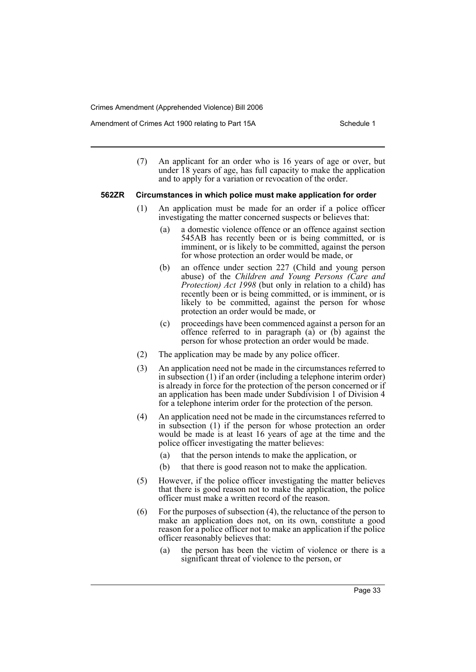Amendment of Crimes Act 1900 relating to Part 15A Schedule 1

(7) An applicant for an order who is 16 years of age or over, but under 18 years of age, has full capacity to make the application and to apply for a variation or revocation of the order.

#### **562ZR Circumstances in which police must make application for order**

- (1) An application must be made for an order if a police officer investigating the matter concerned suspects or believes that:
	- (a) a domestic violence offence or an offence against section 545AB has recently been or is being committed, or is imminent, or is likely to be committed, against the person for whose protection an order would be made, or
	- (b) an offence under section 227 (Child and young person abuse) of the *Children and Young Persons (Care and Protection) Act 1998* (but only in relation to a child) has recently been or is being committed, or is imminent, or is likely to be committed, against the person for whose protection an order would be made, or
	- (c) proceedings have been commenced against a person for an offence referred to in paragraph  $(a)$  or  $(b)$  against the person for whose protection an order would be made.
- (2) The application may be made by any police officer.
- (3) An application need not be made in the circumstances referred to in subsection (1) if an order (including a telephone interim order) is already in force for the protection of the person concerned or if an application has been made under Subdivision 1 of Division 4 for a telephone interim order for the protection of the person.
- (4) An application need not be made in the circumstances referred to in subsection (1) if the person for whose protection an order would be made is at least 16 years of age at the time and the police officer investigating the matter believes:
	- (a) that the person intends to make the application, or
	- (b) that there is good reason not to make the application.
- (5) However, if the police officer investigating the matter believes that there is good reason not to make the application, the police officer must make a written record of the reason.
- (6) For the purposes of subsection (4), the reluctance of the person to make an application does not, on its own, constitute a good reason for a police officer not to make an application if the police officer reasonably believes that:
	- (a) the person has been the victim of violence or there is a significant threat of violence to the person, or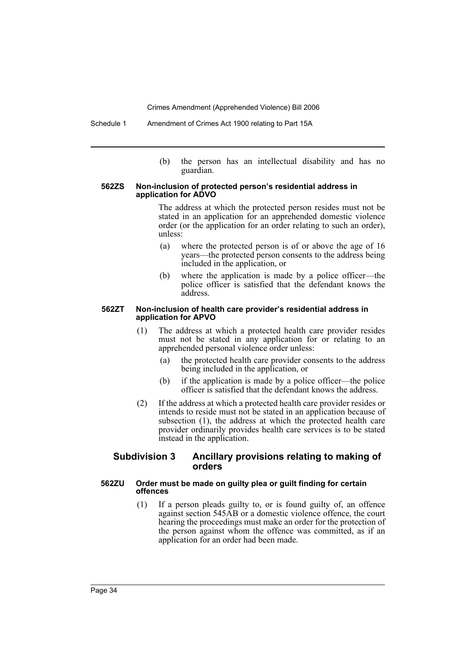Schedule 1 Amendment of Crimes Act 1900 relating to Part 15A

(b) the person has an intellectual disability and has no guardian.

#### **562ZS Non-inclusion of protected person's residential address in application for ADVO**

The address at which the protected person resides must not be stated in an application for an apprehended domestic violence order (or the application for an order relating to such an order), unless:

- (a) where the protected person is of or above the age of 16 years—the protected person consents to the address being included in the application, or
- (b) where the application is made by a police officer—the police officer is satisfied that the defendant knows the address.

#### **562ZT Non-inclusion of health care provider's residential address in application for APVO**

- (1) The address at which a protected health care provider resides must not be stated in any application for or relating to an apprehended personal violence order unless:
	- (a) the protected health care provider consents to the address being included in the application, or
	- (b) if the application is made by a police officer—the police officer is satisfied that the defendant knows the address.
- (2) If the address at which a protected health care provider resides or intends to reside must not be stated in an application because of subsection (1), the address at which the protected health care provider ordinarily provides health care services is to be stated instead in the application.

#### **Subdivision 3 Ancillary provisions relating to making of orders**

#### **562ZU Order must be made on guilty plea or guilt finding for certain offences**

(1) If a person pleads guilty to, or is found guilty of, an offence against section 545AB or a domestic violence offence, the court hearing the proceedings must make an order for the protection of the person against whom the offence was committed, as if an application for an order had been made.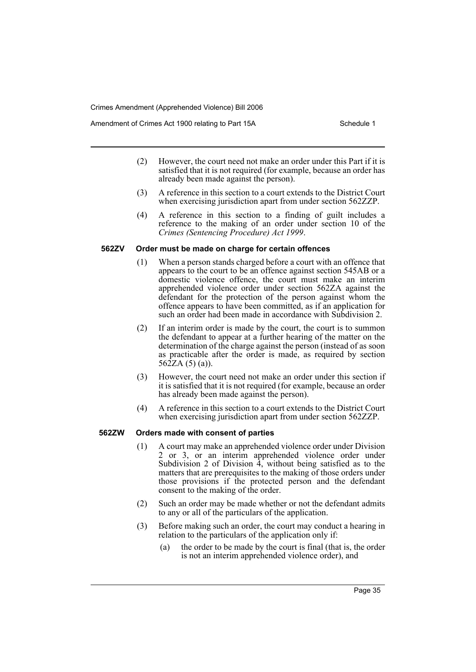Amendment of Crimes Act 1900 relating to Part 15A Schedule 1

- (2) However, the court need not make an order under this Part if it is satisfied that it is not required (for example, because an order has already been made against the person).
- (3) A reference in this section to a court extends to the District Court when exercising jurisdiction apart from under section 562ZZP.
- (4) A reference in this section to a finding of guilt includes a reference to the making of an order under section 10 of the *Crimes (Sentencing Procedure) Act 1999*.

#### **562ZV Order must be made on charge for certain offences**

- (1) When a person stands charged before a court with an offence that appears to the court to be an offence against section 545AB or a domestic violence offence, the court must make an interim apprehended violence order under section 562ZA against the defendant for the protection of the person against whom the offence appears to have been committed, as if an application for such an order had been made in accordance with Subdivision 2.
- (2) If an interim order is made by the court, the court is to summon the defendant to appear at a further hearing of the matter on the determination of the charge against the person (instead of as soon as practicable after the order is made, as required by section  $562ZA(5)(a)$ .
- (3) However, the court need not make an order under this section if it is satisfied that it is not required (for example, because an order has already been made against the person).
- (4) A reference in this section to a court extends to the District Court when exercising jurisdiction apart from under section 562ZZP.

#### **562ZW Orders made with consent of parties**

- (1) A court may make an apprehended violence order under Division 2 or 3, or an interim apprehended violence order under Subdivision 2 of Division  $\hat{A}$ , without being satisfied as to the matters that are prerequisites to the making of those orders under those provisions if the protected person and the defendant consent to the making of the order.
- (2) Such an order may be made whether or not the defendant admits to any or all of the particulars of the application.
- (3) Before making such an order, the court may conduct a hearing in relation to the particulars of the application only if:
	- (a) the order to be made by the court is final (that is, the order is not an interim apprehended violence order), and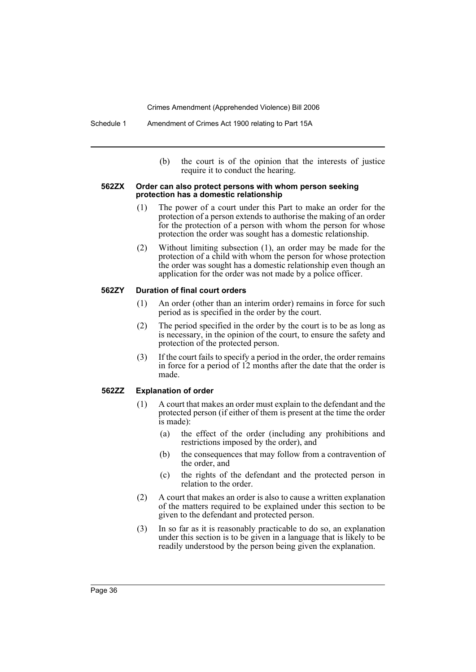(b) the court is of the opinion that the interests of justice require it to conduct the hearing.

#### **562ZX Order can also protect persons with whom person seeking protection has a domestic relationship**

- (1) The power of a court under this Part to make an order for the protection of a person extends to authorise the making of an order for the protection of a person with whom the person for whose protection the order was sought has a domestic relationship.
- (2) Without limiting subsection (1), an order may be made for the protection of a child with whom the person for whose protection the order was sought has a domestic relationship even though an application for the order was not made by a police officer.

#### **562ZY Duration of final court orders**

- (1) An order (other than an interim order) remains in force for such period as is specified in the order by the court.
- (2) The period specified in the order by the court is to be as long as is necessary, in the opinion of the court, to ensure the safety and protection of the protected person.
- (3) If the court fails to specify a period in the order, the order remains in force for a period of 12 months after the date that the order is made.

#### **562ZZ Explanation of order**

- (1) A court that makes an order must explain to the defendant and the protected person (if either of them is present at the time the order is made):
	- (a) the effect of the order (including any prohibitions and restrictions imposed by the order), and
	- (b) the consequences that may follow from a contravention of the order, and
	- (c) the rights of the defendant and the protected person in relation to the order.
- (2) A court that makes an order is also to cause a written explanation of the matters required to be explained under this section to be given to the defendant and protected person.
- (3) In so far as it is reasonably practicable to do so, an explanation under this section is to be given in a language that is likely to be readily understood by the person being given the explanation.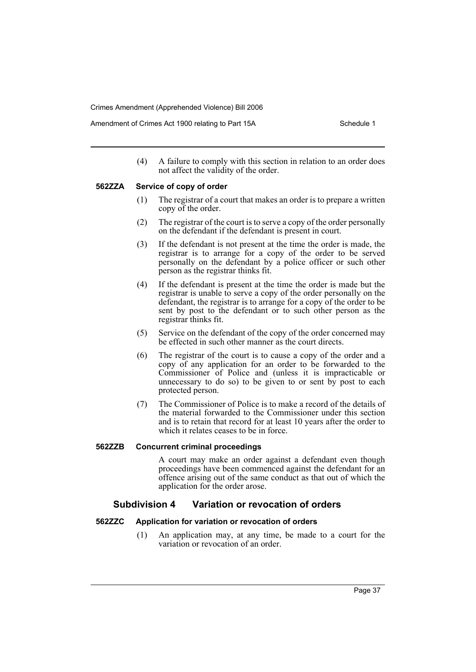Amendment of Crimes Act 1900 relating to Part 15A Schedule 1

(4) A failure to comply with this section in relation to an order does not affect the validity of the order.

#### **562ZZA Service of copy of order**

- (1) The registrar of a court that makes an order is to prepare a written copy of the order.
- (2) The registrar of the court is to serve a copy of the order personally on the defendant if the defendant is present in court.
- (3) If the defendant is not present at the time the order is made, the registrar is to arrange for a copy of the order to be served personally on the defendant by a police officer or such other person as the registrar thinks fit.
- (4) If the defendant is present at the time the order is made but the registrar is unable to serve a copy of the order personally on the defendant, the registrar is to arrange for a copy of the order to be sent by post to the defendant or to such other person as the registrar thinks fit.
- (5) Service on the defendant of the copy of the order concerned may be effected in such other manner as the court directs.
- (6) The registrar of the court is to cause a copy of the order and a copy of any application for an order to be forwarded to the Commissioner of Police and (unless it is impracticable or unnecessary to do so) to be given to or sent by post to each protected person.
- (7) The Commissioner of Police is to make a record of the details of the material forwarded to the Commissioner under this section and is to retain that record for at least 10 years after the order to which it relates ceases to be in force.

#### **562ZZB Concurrent criminal proceedings**

A court may make an order against a defendant even though proceedings have been commenced against the defendant for an offence arising out of the same conduct as that out of which the application for the order arose.

# **Subdivision 4 Variation or revocation of orders**

#### **562ZZC Application for variation or revocation of orders**

(1) An application may, at any time, be made to a court for the variation or revocation of an order.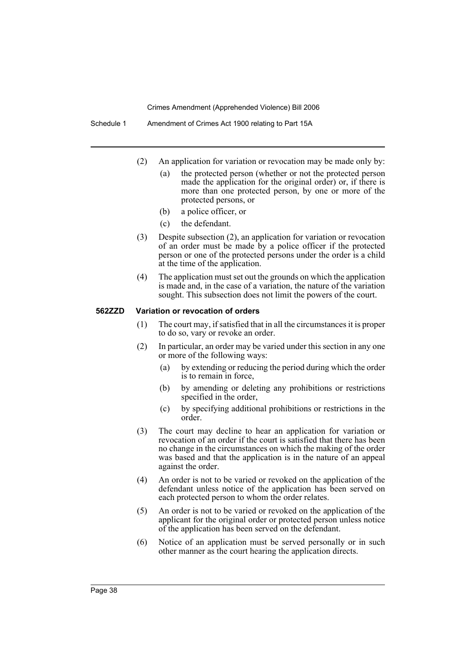Schedule 1 Amendment of Crimes Act 1900 relating to Part 15A

- (2) An application for variation or revocation may be made only by:
	- (a) the protected person (whether or not the protected person made the application for the original order) or, if there is more than one protected person, by one or more of the protected persons, or
	- (b) a police officer, or
	- (c) the defendant.
- (3) Despite subsection (2), an application for variation or revocation of an order must be made by a police officer if the protected person or one of the protected persons under the order is a child at the time of the application.
- (4) The application must set out the grounds on which the application is made and, in the case of a variation, the nature of the variation sought. This subsection does not limit the powers of the court.

#### **562ZZD Variation or revocation of orders**

- (1) The court may, if satisfied that in all the circumstances it is proper to do so, vary or revoke an order.
- (2) In particular, an order may be varied under this section in any one or more of the following ways:
	- (a) by extending or reducing the period during which the order is to remain in force,
	- (b) by amending or deleting any prohibitions or restrictions specified in the order,
	- (c) by specifying additional prohibitions or restrictions in the order.
- (3) The court may decline to hear an application for variation or revocation of an order if the court is satisfied that there has been no change in the circumstances on which the making of the order was based and that the application is in the nature of an appeal against the order.
- (4) An order is not to be varied or revoked on the application of the defendant unless notice of the application has been served on each protected person to whom the order relates.
- (5) An order is not to be varied or revoked on the application of the applicant for the original order or protected person unless notice of the application has been served on the defendant.
- (6) Notice of an application must be served personally or in such other manner as the court hearing the application directs.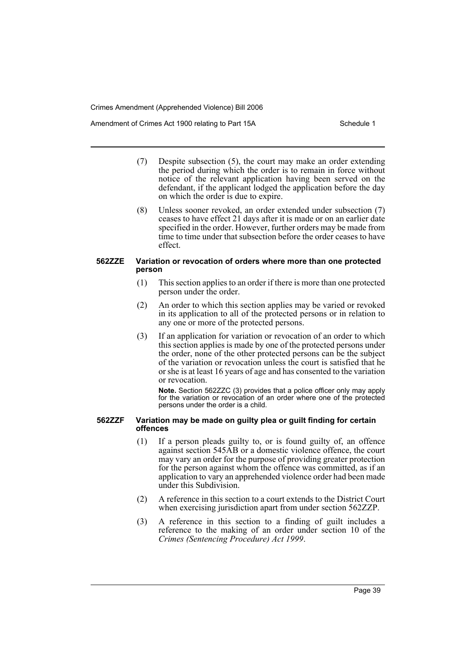Amendment of Crimes Act 1900 relating to Part 15A Schedule 1

- (7) Despite subsection (5), the court may make an order extending the period during which the order is to remain in force without notice of the relevant application having been served on the defendant, if the applicant lodged the application before the day on which the order is due to expire.
- (8) Unless sooner revoked, an order extended under subsection (7) ceases to have effect 21 days after it is made or on an earlier date specified in the order. However, further orders may be made from time to time under that subsection before the order ceases to have effect.

#### **562ZZE Variation or revocation of orders where more than one protected person**

- (1) This section applies to an order if there is more than one protected person under the order.
- (2) An order to which this section applies may be varied or revoked in its application to all of the protected persons or in relation to any one or more of the protected persons.
- (3) If an application for variation or revocation of an order to which this section applies is made by one of the protected persons under the order, none of the other protected persons can be the subject of the variation or revocation unless the court is satisfied that he or she is at least 16 years of age and has consented to the variation or revocation.

**Note.** Section 562ZZC (3) provides that a police officer only may apply for the variation or revocation of an order where one of the protected persons under the order is a child.

#### **562ZZF Variation may be made on guilty plea or guilt finding for certain offences**

- (1) If a person pleads guilty to, or is found guilty of, an offence against section 545AB or a domestic violence offence, the court may vary an order for the purpose of providing greater protection for the person against whom the offence was committed, as if an application to vary an apprehended violence order had been made under this Subdivision.
- (2) A reference in this section to a court extends to the District Court when exercising jurisdiction apart from under section 562ZZP.
- (3) A reference in this section to a finding of guilt includes a reference to the making of an order under section 10 of the *Crimes (Sentencing Procedure) Act 1999*.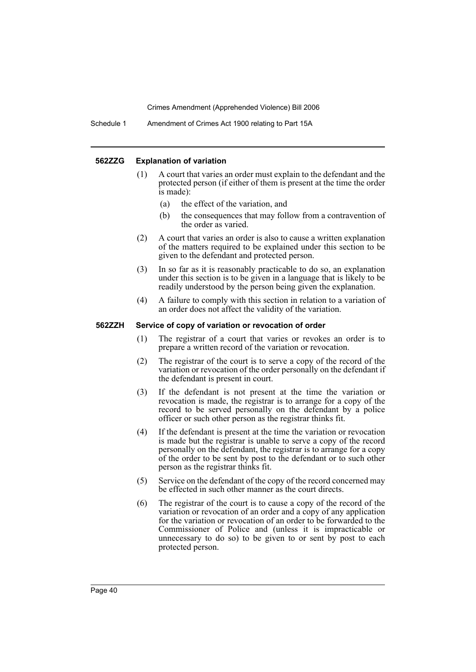Schedule 1 Amendment of Crimes Act 1900 relating to Part 15A

#### **562ZZG Explanation of variation**

- (1) A court that varies an order must explain to the defendant and the protected person (if either of them is present at the time the order is made):
	- (a) the effect of the variation, and
	- (b) the consequences that may follow from a contravention of the order as varied.
- (2) A court that varies an order is also to cause a written explanation of the matters required to be explained under this section to be given to the defendant and protected person.
- (3) In so far as it is reasonably practicable to do so, an explanation under this section is to be given in a language that is likely to be readily understood by the person being given the explanation.
- (4) A failure to comply with this section in relation to a variation of an order does not affect the validity of the variation.

#### **562ZZH Service of copy of variation or revocation of order**

- (1) The registrar of a court that varies or revokes an order is to prepare a written record of the variation or revocation.
- (2) The registrar of the court is to serve a copy of the record of the variation or revocation of the order personally on the defendant if the defendant is present in court.
- (3) If the defendant is not present at the time the variation or revocation is made, the registrar is to arrange for a copy of the record to be served personally on the defendant by a police officer or such other person as the registrar thinks fit.
- (4) If the defendant is present at the time the variation or revocation is made but the registrar is unable to serve a copy of the record personally on the defendant, the registrar is to arrange for a copy of the order to be sent by post to the defendant or to such other person as the registrar thinks fit.
- (5) Service on the defendant of the copy of the record concerned may be effected in such other manner as the court directs.
- (6) The registrar of the court is to cause a copy of the record of the variation or revocation of an order and a copy of any application for the variation or revocation of an order to be forwarded to the Commissioner of Police and (unless it is impracticable or unnecessary to do so) to be given to or sent by post to each protected person.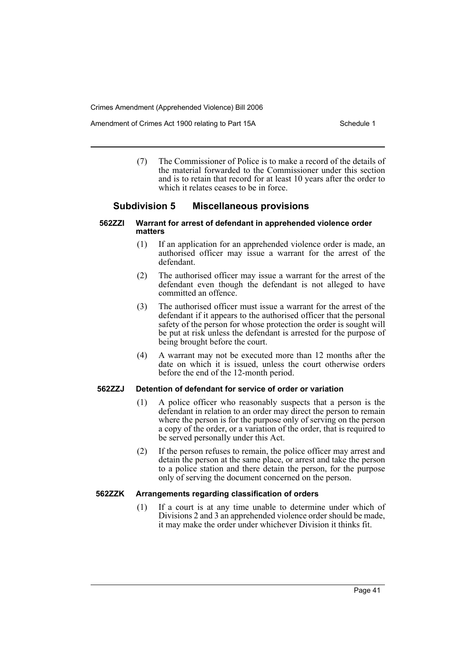Amendment of Crimes Act 1900 relating to Part 15A Schedule 1

(7) The Commissioner of Police is to make a record of the details of the material forwarded to the Commissioner under this section and is to retain that record for at least 10 years after the order to which it relates ceases to be in force.

# **Subdivision 5 Miscellaneous provisions**

#### **562ZZI Warrant for arrest of defendant in apprehended violence order matters**

- (1) If an application for an apprehended violence order is made, an authorised officer may issue a warrant for the arrest of the defendant.
- (2) The authorised officer may issue a warrant for the arrest of the defendant even though the defendant is not alleged to have committed an offence.
- (3) The authorised officer must issue a warrant for the arrest of the defendant if it appears to the authorised officer that the personal safety of the person for whose protection the order is sought will be put at risk unless the defendant is arrested for the purpose of being brought before the court.
- (4) A warrant may not be executed more than 12 months after the date on which it is issued, unless the court otherwise orders before the end of the 12-month period.

### **562ZZJ Detention of defendant for service of order or variation**

- (1) A police officer who reasonably suspects that a person is the defendant in relation to an order may direct the person to remain where the person is for the purpose only of serving on the person a copy of the order, or a variation of the order, that is required to be served personally under this Act.
- (2) If the person refuses to remain, the police officer may arrest and detain the person at the same place, or arrest and take the person to a police station and there detain the person, for the purpose only of serving the document concerned on the person.

# **562ZZK Arrangements regarding classification of orders**

(1) If a court is at any time unable to determine under which of Divisions 2 and 3 an apprehended violence order should be made, it may make the order under whichever Division it thinks fit.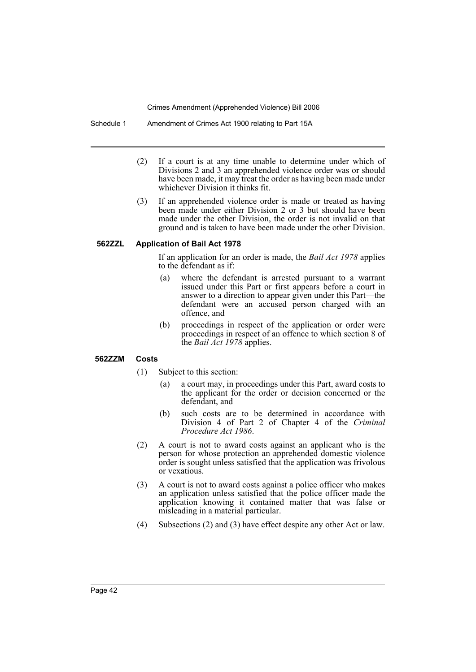Schedule 1 Amendment of Crimes Act 1900 relating to Part 15A

- (2) If a court is at any time unable to determine under which of Divisions 2 and 3 an apprehended violence order was or should have been made, it may treat the order as having been made under whichever Division it thinks fit.
- (3) If an apprehended violence order is made or treated as having been made under either Division 2 or 3 but should have been made under the other Division, the order is not invalid on that ground and is taken to have been made under the other Division.

# **562ZZL Application of Bail Act 1978**

If an application for an order is made, the *Bail Act 1978* applies to the defendant as if:

- (a) where the defendant is arrested pursuant to a warrant issued under this Part or first appears before a court in answer to a direction to appear given under this Part—the defendant were an accused person charged with an offence, and
- (b) proceedings in respect of the application or order were proceedings in respect of an offence to which section 8 of the *Bail Act 1978* applies.

#### **562ZZM Costs**

- (1) Subject to this section:
	- (a) a court may, in proceedings under this Part, award costs to the applicant for the order or decision concerned or the defendant, and
	- (b) such costs are to be determined in accordance with Division 4 of Part 2 of Chapter 4 of the *Criminal Procedure Act 1986*.
- (2) A court is not to award costs against an applicant who is the person for whose protection an apprehended domestic violence order is sought unless satisfied that the application was frivolous or vexatious.
- (3) A court is not to award costs against a police officer who makes an application unless satisfied that the police officer made the application knowing it contained matter that was false or misleading in a material particular.
- (4) Subsections (2) and (3) have effect despite any other Act or law.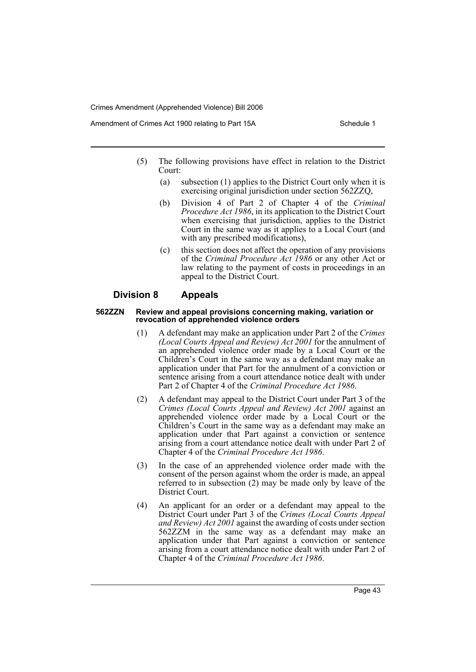Amendment of Crimes Act 1900 relating to Part 15A Schedule 1

- (5) The following provisions have effect in relation to the District Court:
	- (a) subsection (1) applies to the District Court only when it is exercising original jurisdiction under section 562ZZQ,
	- (b) Division 4 of Part 2 of Chapter 4 of the *Criminal Procedure Act 1986*, in its application to the District Court when exercising that jurisdiction, applies to the District Court in the same way as it applies to a Local Court (and with any prescribed modifications),
	- (c) this section does not affect the operation of any provisions of the *Criminal Procedure Act 1986* or any other Act or law relating to the payment of costs in proceedings in an appeal to the District Court.

# **Division 8 Appeals**

#### **562ZZN Review and appeal provisions concerning making, variation or revocation of apprehended violence orders**

- (1) A defendant may make an application under Part 2 of the *Crimes (Local Courts Appeal and Review) Act 2001* for the annulment of an apprehended violence order made by a Local Court or the Children's Court in the same way as a defendant may make an application under that Part for the annulment of a conviction or sentence arising from a court attendance notice dealt with under Part 2 of Chapter 4 of the *Criminal Procedure Act 1986*.
- (2) A defendant may appeal to the District Court under Part 3 of the *Crimes (Local Courts Appeal and Review) Act 2001* against an apprehended violence order made by a Local Court or the Children's Court in the same way as a defendant may make an application under that Part against a conviction or sentence arising from a court attendance notice dealt with under Part 2 of Chapter 4 of the *Criminal Procedure Act 1986*.
- (3) In the case of an apprehended violence order made with the consent of the person against whom the order is made, an appeal referred to in subsection (2) may be made only by leave of the District Court.
- (4) An applicant for an order or a defendant may appeal to the District Court under Part 3 of the *Crimes (Local Courts Appeal and Review) Act 2001* against the awarding of costs under section 562ZZM in the same way as a defendant may make an application under that Part against a conviction or sentence arising from a court attendance notice dealt with under Part 2 of Chapter 4 of the *Criminal Procedure Act 1986*.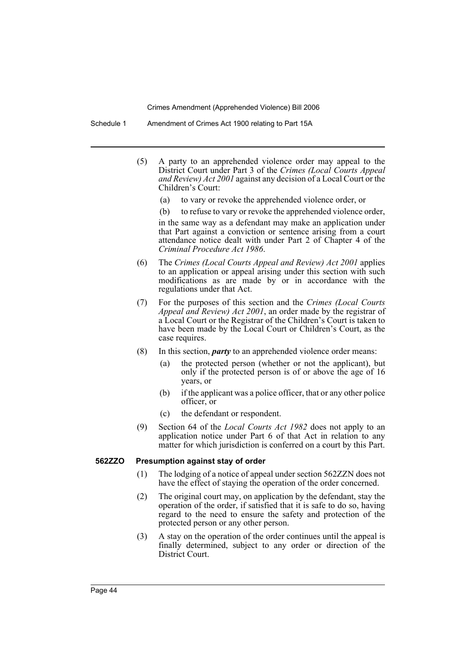Schedule 1 Amendment of Crimes Act 1900 relating to Part 15A

- (5) A party to an apprehended violence order may appeal to the District Court under Part 3 of the *Crimes (Local Courts Appeal and Review) Act 2001* against any decision of a Local Court or the Children's Court:
	- (a) to vary or revoke the apprehended violence order, or

(b) to refuse to vary or revoke the apprehended violence order, in the same way as a defendant may make an application under

that Part against a conviction or sentence arising from a court attendance notice dealt with under Part 2 of Chapter 4 of the *Criminal Procedure Act 1986*.

- (6) The *Crimes (Local Courts Appeal and Review) Act 2001* applies to an application or appeal arising under this section with such modifications as are made by or in accordance with the regulations under that Act.
- (7) For the purposes of this section and the *Crimes (Local Courts Appeal and Review) Act 2001*, an order made by the registrar of a Local Court or the Registrar of the Children's Court is taken to have been made by the Local Court or Children's Court, as the case requires.
- (8) In this section, *party* to an apprehended violence order means:
	- (a) the protected person (whether or not the applicant), but only if the protected person is of or above the age of 16 years, or
	- (b) if the applicant was a police officer, that or any other police officer, or
	- (c) the defendant or respondent.
- (9) Section 64 of the *Local Courts Act 1982* does not apply to an application notice under Part 6 of that Act in relation to any matter for which jurisdiction is conferred on a court by this Part.

#### **562ZZO Presumption against stay of order**

- (1) The lodging of a notice of appeal under section 562ZZN does not have the effect of staying the operation of the order concerned.
- (2) The original court may, on application by the defendant, stay the operation of the order, if satisfied that it is safe to do so, having regard to the need to ensure the safety and protection of the protected person or any other person.
- (3) A stay on the operation of the order continues until the appeal is finally determined, subject to any order or direction of the District Court.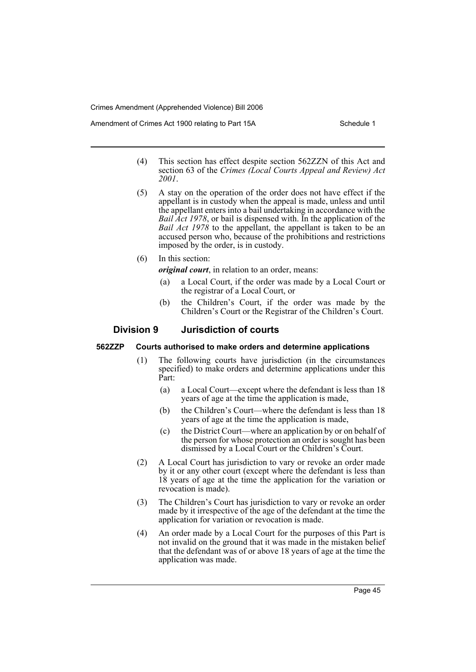Amendment of Crimes Act 1900 relating to Part 15A Schedule 1

- (4) This section has effect despite section 562ZZN of this Act and section 63 of the *Crimes (Local Courts Appeal and Review) Act 2001*.
- (5) A stay on the operation of the order does not have effect if the appellant is in custody when the appeal is made, unless and until the appellant enters into a bail undertaking in accordance with the *Bail Act 1978*, or bail is dispensed with. In the application of the *Bail Act 1978* to the appellant, the appellant is taken to be an accused person who, because of the prohibitions and restrictions imposed by the order, is in custody.
- (6) In this section:

*original court*, in relation to an order, means:

- (a) a Local Court, if the order was made by a Local Court or the registrar of a Local Court, or
- (b) the Children's Court, if the order was made by the Children's Court or the Registrar of the Children's Court.

# **Division 9 Jurisdiction of courts**

#### **562ZZP Courts authorised to make orders and determine applications**

- (1) The following courts have jurisdiction (in the circumstances specified) to make orders and determine applications under this Part:
	- (a) a Local Court—except where the defendant is less than 18 years of age at the time the application is made,
	- (b) the Children's Court—where the defendant is less than 18 years of age at the time the application is made,
	- (c) the District Court—where an application by or on behalf of the person for whose protection an order is sought has been dismissed by a Local Court or the Children's Court.
- (2) A Local Court has jurisdiction to vary or revoke an order made by it or any other court (except where the defendant is less than 18 years of age at the time the application for the variation or revocation is made).
- (3) The Children's Court has jurisdiction to vary or revoke an order made by it irrespective of the age of the defendant at the time the application for variation or revocation is made.
- (4) An order made by a Local Court for the purposes of this Part is not invalid on the ground that it was made in the mistaken belief that the defendant was of or above 18 years of age at the time the application was made.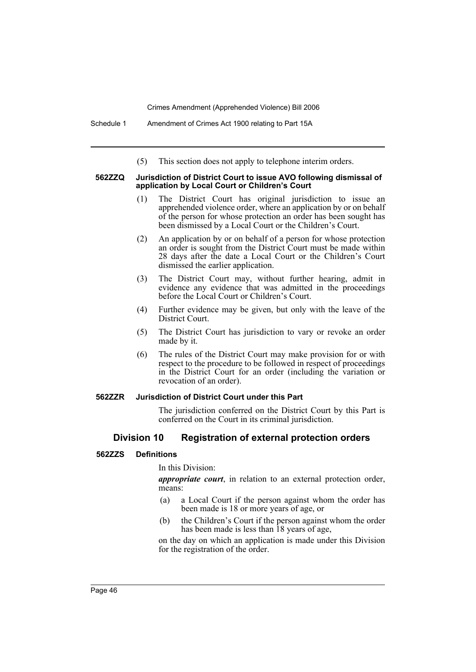Schedule 1 Amendment of Crimes Act 1900 relating to Part 15A

(5) This section does not apply to telephone interim orders.

#### **562ZZQ Jurisdiction of District Court to issue AVO following dismissal of application by Local Court or Children's Court**

- (1) The District Court has original jurisdiction to issue an apprehended violence order, where an application by or on behalf of the person for whose protection an order has been sought has been dismissed by a Local Court or the Children's Court.
- (2) An application by or on behalf of a person for whose protection an order is sought from the District Court must be made within 28 days after the date a Local Court or the Children's Court dismissed the earlier application.
- (3) The District Court may, without further hearing, admit in evidence any evidence that was admitted in the proceedings before the Local Court or Children's Court.
- (4) Further evidence may be given, but only with the leave of the District Court.
- (5) The District Court has jurisdiction to vary or revoke an order made by it.
- (6) The rules of the District Court may make provision for or with respect to the procedure to be followed in respect of proceedings in the District Court for an order (including the variation or revocation of an order).

#### **562ZZR Jurisdiction of District Court under this Part**

The jurisdiction conferred on the District Court by this Part is conferred on the Court in its criminal jurisdiction.

# **Division 10 Registration of external protection orders**

#### **562ZZS Definitions**

In this Division:

*appropriate court*, in relation to an external protection order, means:

- (a) a Local Court if the person against whom the order has been made is 18 or more years of age, or
- (b) the Children's Court if the person against whom the order has been made is less than 18 years of age,

on the day on which an application is made under this Division for the registration of the order.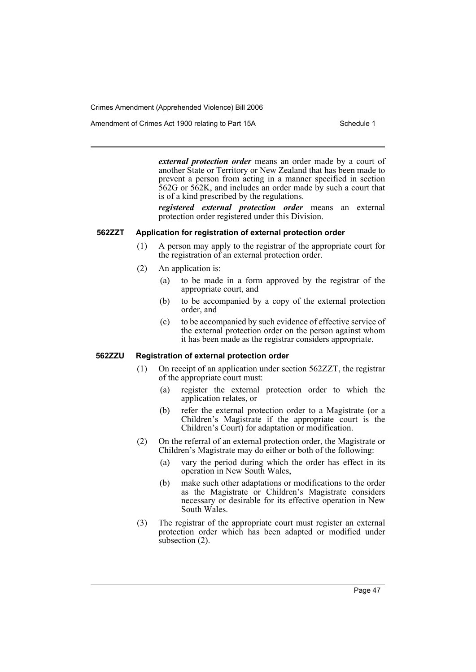Amendment of Crimes Act 1900 relating to Part 15A Schedule 1

*external protection order* means an order made by a court of another State or Territory or New Zealand that has been made to prevent a person from acting in a manner specified in section 562G or 562K, and includes an order made by such a court that is of a kind prescribed by the regulations.

*registered external protection order* means an external protection order registered under this Division.

### **562ZZT Application for registration of external protection order**

- (1) A person may apply to the registrar of the appropriate court for the registration of an external protection order.
- (2) An application is:
	- (a) to be made in a form approved by the registrar of the appropriate court, and
	- (b) to be accompanied by a copy of the external protection order, and
	- (c) to be accompanied by such evidence of effective service of the external protection order on the person against whom it has been made as the registrar considers appropriate.

#### **562ZZU Registration of external protection order**

- (1) On receipt of an application under section 562ZZT, the registrar of the appropriate court must:
	- (a) register the external protection order to which the application relates, or
	- (b) refer the external protection order to a Magistrate (or a Children's Magistrate if the appropriate court is the Children's Court) for adaptation or modification.
- (2) On the referral of an external protection order, the Magistrate or Children's Magistrate may do either or both of the following:
	- (a) vary the period during which the order has effect in its operation in New South Wales,
	- (b) make such other adaptations or modifications to the order as the Magistrate or Children's Magistrate considers necessary or desirable for its effective operation in New South Wales.
- (3) The registrar of the appropriate court must register an external protection order which has been adapted or modified under subsection (2).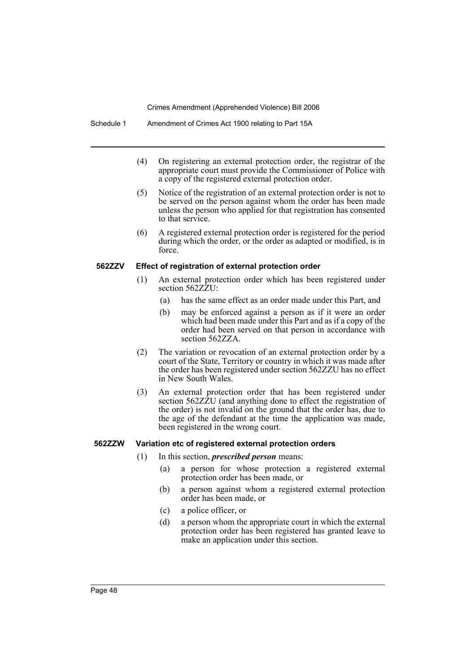Schedule 1 Amendment of Crimes Act 1900 relating to Part 15A

- (4) On registering an external protection order, the registrar of the appropriate court must provide the Commissioner of Police with a copy of the registered external protection order.
- (5) Notice of the registration of an external protection order is not to be served on the person against whom the order has been made unless the person who applied for that registration has consented to that service.
- (6) A registered external protection order is registered for the period during which the order, or the order as adapted or modified, is in force.

#### **562ZZV Effect of registration of external protection order**

- (1) An external protection order which has been registered under section 562ZZU:
	- (a) has the same effect as an order made under this Part, and
	- (b) may be enforced against a person as if it were an order which had been made under this Part and as if a copy of the order had been served on that person in accordance with section 562ZZA.
- (2) The variation or revocation of an external protection order by a court of the State, Territory or country in which it was made after the order has been registered under section 562ZZU has no effect in New South Wales.
- (3) An external protection order that has been registered under section 562Z $\bar{Z}U$  (and anything done to effect the registration of the order) is not invalid on the ground that the order has, due to the age of the defendant at the time the application was made, been registered in the wrong court.

#### **562ZZW Variation etc of registered external protection orders**

- (1) In this section, *prescribed person* means:
	- (a) a person for whose protection a registered external protection order has been made, or
	- (b) a person against whom a registered external protection order has been made, or
	- (c) a police officer, or
	- (d) a person whom the appropriate court in which the external protection order has been registered has granted leave to make an application under this section.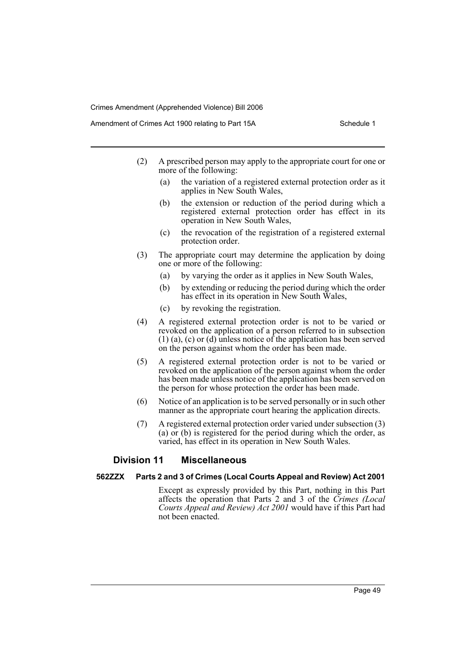- (2) A prescribed person may apply to the appropriate court for one or more of the following:
	- (a) the variation of a registered external protection order as it applies in New South Wales,
	- (b) the extension or reduction of the period during which a registered external protection order has effect in its operation in New South Wales,
	- (c) the revocation of the registration of a registered external protection order.
- (3) The appropriate court may determine the application by doing one or more of the following:
	- (a) by varying the order as it applies in New South Wales,
	- (b) by extending or reducing the period during which the order has effect in its operation in New South Wales,
	- (c) by revoking the registration.
- (4) A registered external protection order is not to be varied or revoked on the application of a person referred to in subsection  $(1)$  (a), (c) or (d) unless notice of the application has been served on the person against whom the order has been made.
- (5) A registered external protection order is not to be varied or revoked on the application of the person against whom the order has been made unless notice of the application has been served on the person for whose protection the order has been made.
- (6) Notice of an application is to be served personally or in such other manner as the appropriate court hearing the application directs.
- (7) A registered external protection order varied under subsection (3) (a) or (b) is registered for the period during which the order, as varied, has effect in its operation in New South Wales.

# **Division 11 Miscellaneous**

#### **562ZZX Parts 2 and 3 of Crimes (Local Courts Appeal and Review) Act 2001**

Except as expressly provided by this Part, nothing in this Part affects the operation that Parts 2 and 3 of the *Crimes (Local Courts Appeal and Review) Act 2001* would have if this Part had not been enacted.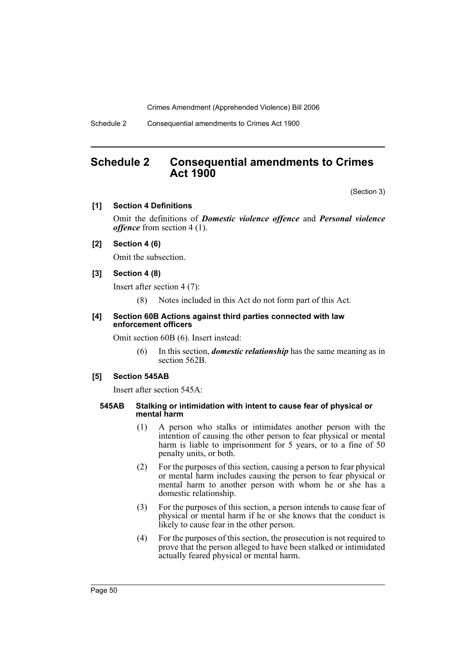Schedule 2 Consequential amendments to Crimes Act 1900

# **Schedule 2 Consequential amendments to Crimes Act 1900**

(Section 3)

#### **[1] Section 4 Definitions**

Omit the definitions of *Domestic violence offence* and *Personal violence offence* from section 4 (1).

# **[2] Section 4 (6)**

Omit the subsection.

#### **[3] Section 4 (8)**

Insert after section 4 (7):

(8) Notes included in this Act do not form part of this Act.

#### **[4] Section 60B Actions against third parties connected with law enforcement officers**

Omit section 60B (6). Insert instead:

(6) In this section, *domestic relationship* has the same meaning as in section 562B.

#### **[5] Section 545AB**

Insert after section 545A:

#### **545AB Stalking or intimidation with intent to cause fear of physical or mental harm**

- (1) A person who stalks or intimidates another person with the intention of causing the other person to fear physical or mental harm is liable to imprisonment for 5 years, or to a fine of 50 penalty units, or both.
- (2) For the purposes of this section, causing a person to fear physical or mental harm includes causing the person to fear physical or mental harm to another person with whom he or she has a domestic relationship.
- (3) For the purposes of this section, a person intends to cause fear of physical or mental harm if he or she knows that the conduct is likely to cause fear in the other person.
- (4) For the purposes of this section, the prosecution is not required to prove that the person alleged to have been stalked or intimidated actually feared physical or mental harm.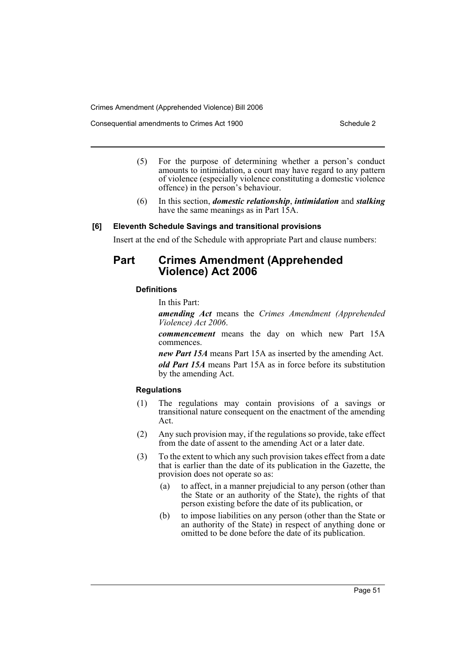Consequential amendments to Crimes Act 1900 Schedule 2

- (5) For the purpose of determining whether a person's conduct amounts to intimidation, a court may have regard to any pattern of violence (especially violence constituting a domestic violence offence) in the person's behaviour.
- (6) In this section, *domestic relationship*, *intimidation* and *stalking* have the same meanings as in Part 15A.

#### **[6] Eleventh Schedule Savings and transitional provisions**

Insert at the end of the Schedule with appropriate Part and clause numbers:

# **Part Crimes Amendment (Apprehended Violence) Act 2006**

#### **Definitions**

In this Part:

*amending Act* means the *Crimes Amendment (Apprehended Violence) Act 2006*.

*commencement* means the day on which new Part 15A commences.

*new Part 15A* means Part 15A as inserted by the amending Act.

*old Part 15A* means Part 15A as in force before its substitution by the amending Act.

### **Regulations**

- (1) The regulations may contain provisions of a savings or transitional nature consequent on the enactment of the amending Act.
- (2) Any such provision may, if the regulations so provide, take effect from the date of assent to the amending Act or a later date.
- (3) To the extent to which any such provision takes effect from a date that is earlier than the date of its publication in the Gazette, the provision does not operate so as:
	- (a) to affect, in a manner prejudicial to any person (other than the State or an authority of the State), the rights of that person existing before the date of its publication, or
	- (b) to impose liabilities on any person (other than the State or an authority of the State) in respect of anything done or omitted to be done before the date of its publication.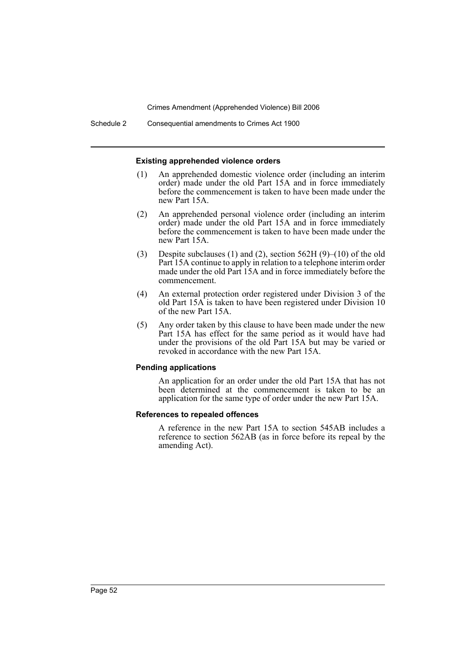Schedule 2 Consequential amendments to Crimes Act 1900

#### **Existing apprehended violence orders**

- (1) An apprehended domestic violence order (including an interim order) made under the old Part 15A and in force immediately before the commencement is taken to have been made under the new Part 15A.
- (2) An apprehended personal violence order (including an interim order) made under the old Part 15A and in force immediately before the commencement is taken to have been made under the new Part 15A.
- (3) Despite subclauses (1) and (2), section 562H (9)–(10) of the old Part 15A continue to apply in relation to a telephone interim order made under the old Part 15A and in force immediately before the commencement.
- (4) An external protection order registered under Division 3 of the old Part 15A is taken to have been registered under Division 10 of the new Part 15A.
- (5) Any order taken by this clause to have been made under the new Part 15A has effect for the same period as it would have had under the provisions of the old Part 15A but may be varied or revoked in accordance with the new Part 15A.

#### **Pending applications**

An application for an order under the old Part 15A that has not been determined at the commencement is taken to be an application for the same type of order under the new Part 15A.

#### **References to repealed offences**

A reference in the new Part 15A to section 545AB includes a reference to section 562AB (as in force before its repeal by the amending Act).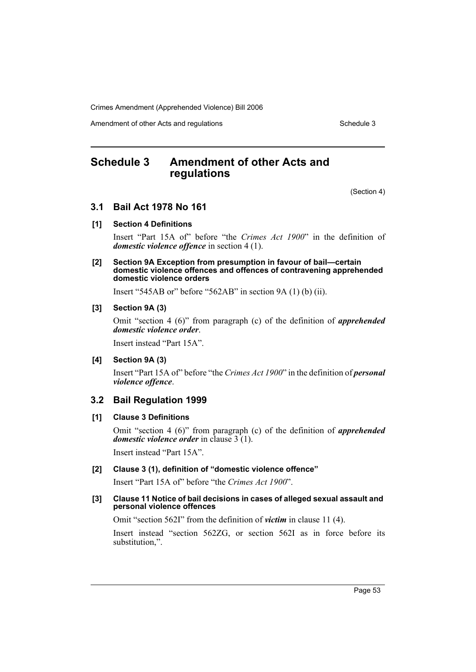Amendment of other Acts and regulations Schedule 3

# **Schedule 3 Amendment of other Acts and regulations**

(Section 4)

# **3.1 Bail Act 1978 No 161**

# **[1] Section 4 Definitions**

Insert "Part 15A of" before "the *Crimes Act 1900*" in the definition of *domestic violence offence* in section 4 (1).

#### **[2] Section 9A Exception from presumption in favour of bail—certain domestic violence offences and offences of contravening apprehended domestic violence orders**

Insert "545AB or" before "562AB" in section 9A (1) (b) (ii).

#### **[3] Section 9A (3)**

Omit "section 4 (6)" from paragraph (c) of the definition of *apprehended domestic violence order*.

Insert instead "Part 15A".

#### **[4] Section 9A (3)**

Insert "Part 15A of" before "the *Crimes Act 1900*" in the definition of *personal violence offence*.

# **3.2 Bail Regulation 1999**

### **[1] Clause 3 Definitions**

Omit "section 4 (6)" from paragraph (c) of the definition of *apprehended domestic violence order* in clause 3 (1).

Insert instead "Part 15A".

#### **[2] Clause 3 (1), definition of "domestic violence offence"**

Insert "Part 15A of" before "the *Crimes Act 1900*".

#### **[3] Clause 11 Notice of bail decisions in cases of alleged sexual assault and personal violence offences**

Omit "section 562I" from the definition of *victim* in clause 11 (4).

Insert instead "section 562ZG, or section 562I as in force before its substitution,".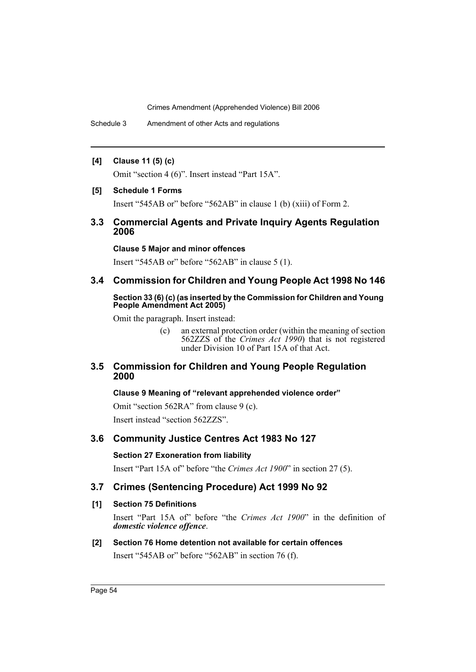Schedule 3 Amendment of other Acts and regulations

# **[4] Clause 11 (5) (c)**

Omit "section 4 (6)". Insert instead "Part 15A".

#### **[5] Schedule 1 Forms**

Insert "545AB or" before "562AB" in clause 1 (b) (xiii) of Form 2.

# **3.3 Commercial Agents and Private Inquiry Agents Regulation 2006**

#### **Clause 5 Major and minor offences**

Insert "545AB or" before "562AB" in clause 5 (1).

# **3.4 Commission for Children and Young People Act 1998 No 146**

#### **Section 33 (6) (c) (as inserted by the Commission for Children and Young People Amendment Act 2005)**

Omit the paragraph. Insert instead:

(c) an external protection order (within the meaning of section 562ZZS of the *Crimes Act 1990*) that is not registered under Division 10 of Part 15A of that Act.

# **3.5 Commission for Children and Young People Regulation 2000**

# **Clause 9 Meaning of "relevant apprehended violence order"**

Omit "section 562RA" from clause 9 (c). Insert instead "section 562ZZS".

# **3.6 Community Justice Centres Act 1983 No 127**

# **Section 27 Exoneration from liability**

Insert "Part 15A of" before "the *Crimes Act 1900*" in section 27 (5).

# **3.7 Crimes (Sentencing Procedure) Act 1999 No 92**

# **[1] Section 75 Definitions**

Insert "Part 15A of" before "the *Crimes Act 1900*" in the definition of *domestic violence offence*.

# **[2] Section 76 Home detention not available for certain offences**

Insert "545AB or" before "562AB" in section 76 (f).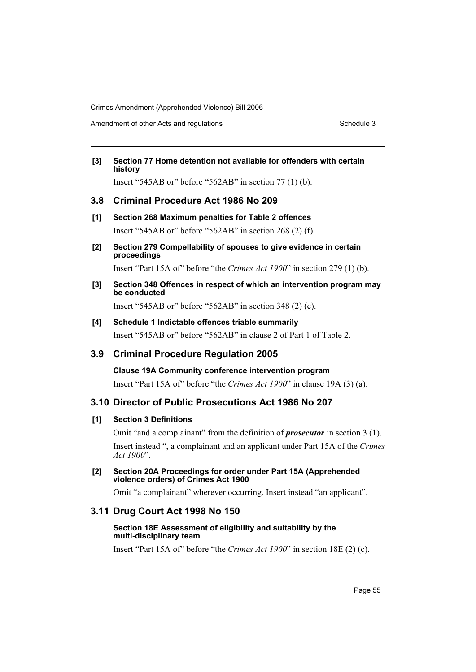Amendment of other Acts and regulations Schedule 3

# **[3] Section 77 Home detention not available for offenders with certain history**

Insert "545AB or" before "562AB" in section 77 (1) (b).

# **3.8 Criminal Procedure Act 1986 No 209**

- **[1] Section 268 Maximum penalties for Table 2 offences** Insert "545AB or" before "562AB" in section 268 (2) (f).
- **[2] Section 279 Compellability of spouses to give evidence in certain proceedings**

Insert "Part 15A of" before "the *Crimes Act 1900*" in section 279 (1) (b).

**[3] Section 348 Offences in respect of which an intervention program may be conducted**

Insert "545AB or" before "562AB" in section 348 (2) (c).

**[4] Schedule 1 Indictable offences triable summarily** Insert "545AB or" before "562AB" in clause 2 of Part 1 of Table 2.

# **3.9 Criminal Procedure Regulation 2005**

**Clause 19A Community conference intervention program** Insert "Part 15A of" before "the *Crimes Act 1900*" in clause 19A (3) (a).

# **3.10 Director of Public Prosecutions Act 1986 No 207**

# **[1] Section 3 Definitions**

Omit "and a complainant" from the definition of *prosecutor* in section 3 (1). Insert instead ", a complainant and an applicant under Part 15A of the *Crimes Act 1900*".

**[2] Section 20A Proceedings for order under Part 15A (Apprehended violence orders) of Crimes Act 1900**

Omit "a complainant" wherever occurring. Insert instead "an applicant".

# **3.11 Drug Court Act 1998 No 150**

#### **Section 18E Assessment of eligibility and suitability by the multi-disciplinary team**

Insert "Part 15A of" before "the *Crimes Act 1900*" in section 18E (2) (c).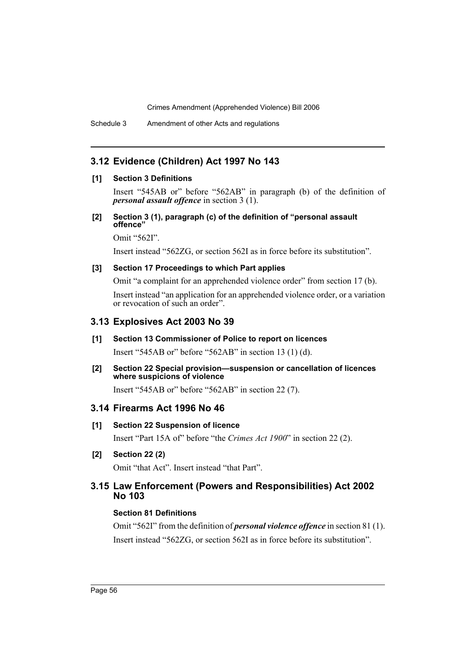Schedule 3 Amendment of other Acts and regulations

# **3.12 Evidence (Children) Act 1997 No 143**

# **[1] Section 3 Definitions**

Insert "545AB or" before "562AB" in paragraph (b) of the definition of *personal assault offence* in section 3 (1).

#### **[2] Section 3 (1), paragraph (c) of the definition of "personal assault offence"**

Omit "562I".

Insert instead "562ZG, or section 562I as in force before its substitution".

# **[3] Section 17 Proceedings to which Part applies**

Omit "a complaint for an apprehended violence order" from section 17 (b).

Insert instead "an application for an apprehended violence order, or a variation or revocation of such an order".

# **3.13 Explosives Act 2003 No 39**

#### **[1] Section 13 Commissioner of Police to report on licences**

Insert "545AB or" before "562AB" in section 13 (1) (d).

#### **[2] Section 22 Special provision—suspension or cancellation of licences where suspicions of violence**

Insert "545AB or" before "562AB" in section 22 (7).

# **3.14 Firearms Act 1996 No 46**

# **[1] Section 22 Suspension of licence**

Insert "Part 15A of" before "the *Crimes Act 1900*" in section 22 (2).

# **[2] Section 22 (2)**

Omit "that Act". Insert instead "that Part".

# **3.15 Law Enforcement (Powers and Responsibilities) Act 2002 No 103**

# **Section 81 Definitions**

Omit "562I" from the definition of *personal violence offence* in section 81 (1). Insert instead "562ZG, or section 562I as in force before its substitution".